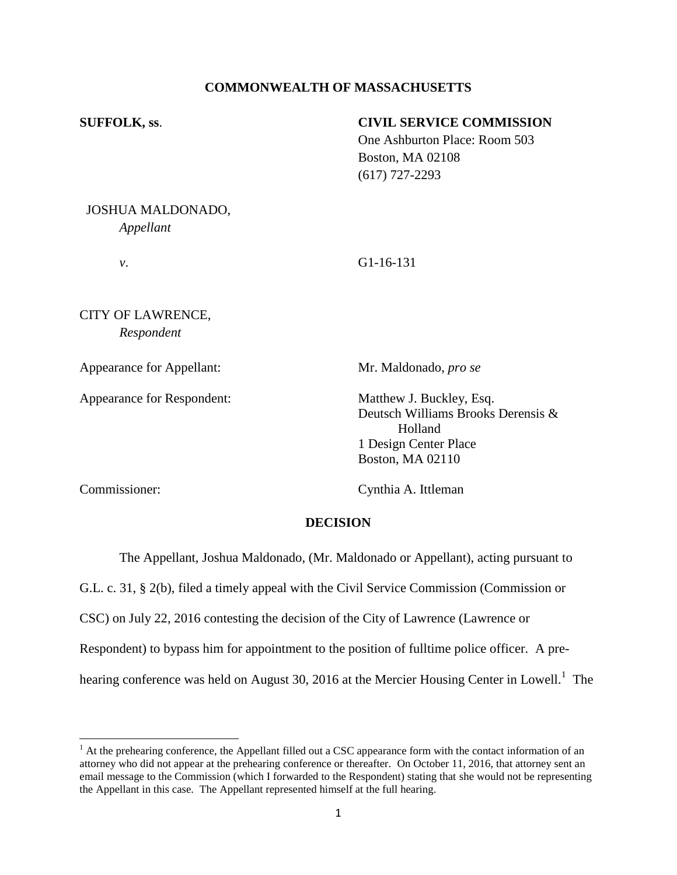# **COMMONWEALTH OF MASSACHUSETTS**

| <b>SUFFOLK, ss.</b>                   | <b>CIVIL SERVICE COMMISSION</b><br>One Ashburton Place: Room 503<br><b>Boston, MA 02108</b><br>$(617)$ 727-2293 |
|---------------------------------------|-----------------------------------------------------------------------------------------------------------------|
| <b>JOSHUA MALDONADO,</b><br>Appellant |                                                                                                                 |
| ν.                                    | $G1-16-131$                                                                                                     |
| CITY OF LAWRENCE,<br>Respondent       |                                                                                                                 |
| <b>Appearance for Appellant:</b>      | Mr. Maldonado, pro se                                                                                           |
| <b>Appearance for Respondent:</b>     | Matthew J. Buckley, Esq.<br>Deutsch Williams Brooks Derensis &<br>Holland<br>1 Design Center Place              |

 $\overline{\phantom{a}}$ 

Commissioner: Cynthia A. Ittleman

Boston, MA 02110

## **DECISION**

The Appellant, Joshua Maldonado, (Mr. Maldonado or Appellant), acting pursuant to G.L. c. 31, § 2(b), filed a timely appeal with the Civil Service Commission (Commission or CSC) on July 22, 2016 contesting the decision of the City of Lawrence (Lawrence or Respondent) to bypass him for appointment to the position of fulltime police officer. A prehearing conference was held on August 30, 2016 at the Mercier Housing Center in Lowell.<sup>1</sup> The

 $<sup>1</sup>$  At the prehearing conference, the Appellant filled out a CSC appearance form with the contact information of an</sup> attorney who did not appear at the prehearing conference or thereafter. On October 11, 2016, that attorney sent an email message to the Commission (which I forwarded to the Respondent) stating that she would not be representing the Appellant in this case. The Appellant represented himself at the full hearing.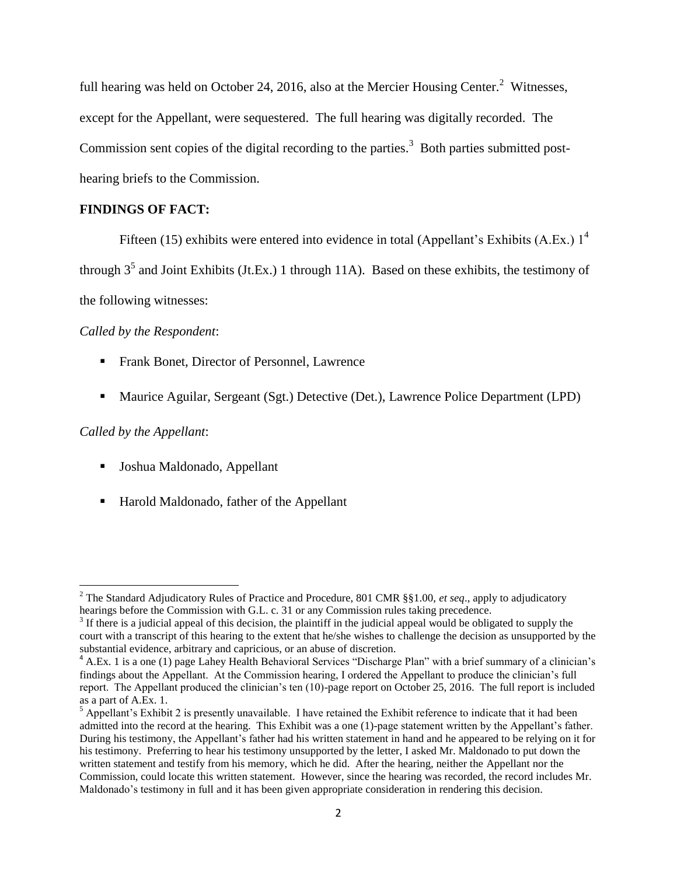full hearing was held on October 24, 2016, also at the Mercier Housing Center. $2$  Witnesses, except for the Appellant, were sequestered. The full hearing was digitally recorded. The Commission sent copies of the digital recording to the parties.<sup>3</sup> Both parties submitted posthearing briefs to the Commission.

# **FINDINGS OF FACT:**

Fifteen (15) exhibits were entered into evidence in total (Appellant's Exhibits (A.Ex.)  $1^4$ 

through  $3<sup>5</sup>$  and Joint Exhibits (Jt.Ex.) 1 through 11A). Based on these exhibits, the testimony of

the following witnesses:

*Called by the Respondent*:

- **Frank Bonet, Director of Personnel, Lawrence**
- Maurice Aguilar, Sergeant (Sgt.) Detective (Det.), Lawrence Police Department (LPD)

## *Called by the Appellant*:

 $\overline{\phantom{a}}$ 

- Joshua Maldonado, Appellant
- Harold Maldonado, father of the Appellant

<sup>2</sup> The Standard Adjudicatory Rules of Practice and Procedure, 801 CMR §§1.00, *et seq*., apply to adjudicatory hearings before the Commission with G.L. c. 31 or any Commission rules taking precedence.

 $3$  If there is a judicial appeal of this decision, the plaintiff in the judicial appeal would be obligated to supply the court with a transcript of this hearing to the extent that he/she wishes to challenge the decision as unsupported by the substantial evidence, arbitrary and capricious, or an abuse of discretion.

 $4$  A.Ex. 1 is a one (1) page Lahey Health Behavioral Services "Discharge Plan" with a brief summary of a clinician's findings about the Appellant. At the Commission hearing, I ordered the Appellant to produce the clinician's full report. The Appellant produced the clinician's ten (10)-page report on October 25, 2016. The full report is included as a part of A.Ex. 1.

 $<sup>5</sup>$  Appellant's Exhibit 2 is presently unavailable. I have retained the Exhibit reference to indicate that it had been</sup> admitted into the record at the hearing. This Exhibit was a one (1)-page statement written by the Appellant's father. During his testimony, the Appellant's father had his written statement in hand and he appeared to be relying on it for his testimony. Preferring to hear his testimony unsupported by the letter, I asked Mr. Maldonado to put down the written statement and testify from his memory, which he did. After the hearing, neither the Appellant nor the Commission, could locate this written statement. However, since the hearing was recorded, the record includes Mr. Maldonado's testimony in full and it has been given appropriate consideration in rendering this decision.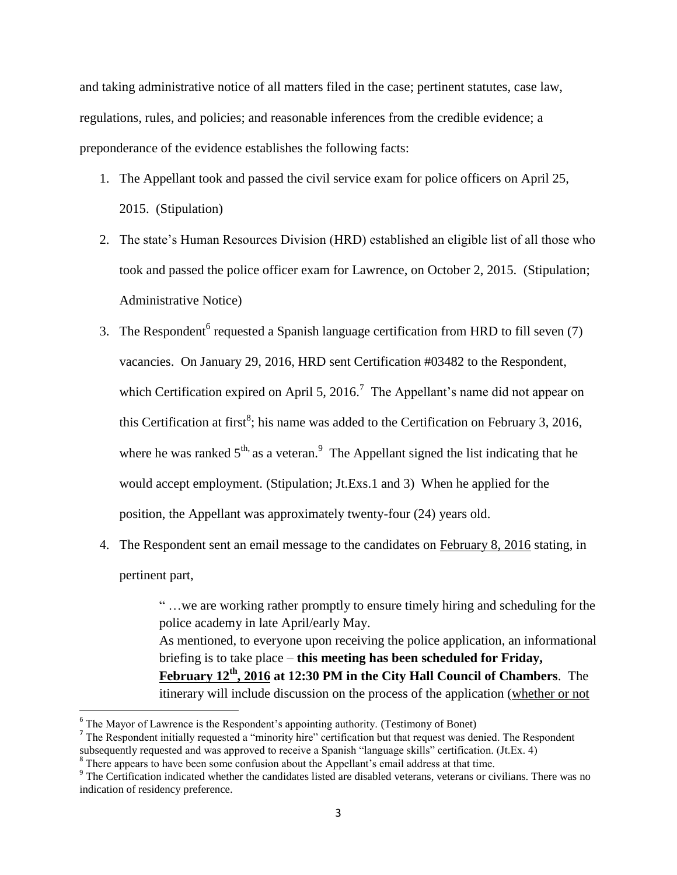and taking administrative notice of all matters filed in the case; pertinent statutes, case law, regulations, rules, and policies; and reasonable inferences from the credible evidence; a preponderance of the evidence establishes the following facts:

- 1. The Appellant took and passed the civil service exam for police officers on April 25, 2015. (Stipulation)
- 2. The state's Human Resources Division (HRD) established an eligible list of all those who took and passed the police officer exam for Lawrence, on October 2, 2015. (Stipulation; Administrative Notice)
- 3. The Respondent<sup>6</sup> requested a Spanish language certification from HRD to fill seven  $(7)$ vacancies. On January 29, 2016, HRD sent Certification #03482 to the Respondent, which Certification expired on April 5, 2016.<sup>7</sup> The Appellant's name did not appear on this Certification at first<sup>8</sup>; his name was added to the Certification on February 3, 2016, where he was ranked  $5<sup>th</sup>$  as a veteran.<sup>9</sup> The Appellant signed the list indicating that he would accept employment. (Stipulation; Jt.Exs.1 and 3) When he applied for the position, the Appellant was approximately twenty-four (24) years old.
- 4. The Respondent sent an email message to the candidates on February 8, 2016 stating, in pertinent part,

" …we are working rather promptly to ensure timely hiring and scheduling for the police academy in late April/early May. As mentioned, to everyone upon receiving the police application, an informational briefing is to take place – **this meeting has been scheduled for Friday, February 12th, 2016 at 12:30 PM in the City Hall Council of Chambers**. The itinerary will include discussion on the process of the application (whether or not

 $\overline{\phantom{a}}$ 

 $6$  The Mayor of Lawrence is the Respondent's appointing authority. (Testimony of Bonet)

 $<sup>7</sup>$  The Respondent initially requested a "minority hire" certification but that request was denied. The Respondent</sup> subsequently requested and was approved to receive a Spanish "language skills" certification. (Jt.Ex. 4)

<sup>&</sup>lt;sup>8</sup> There appears to have been some confusion about the Appellant's email address at that time.

<sup>&</sup>lt;sup>9</sup> The Certification indicated whether the candidates listed are disabled veterans, veterans or civilians. There was no indication of residency preference.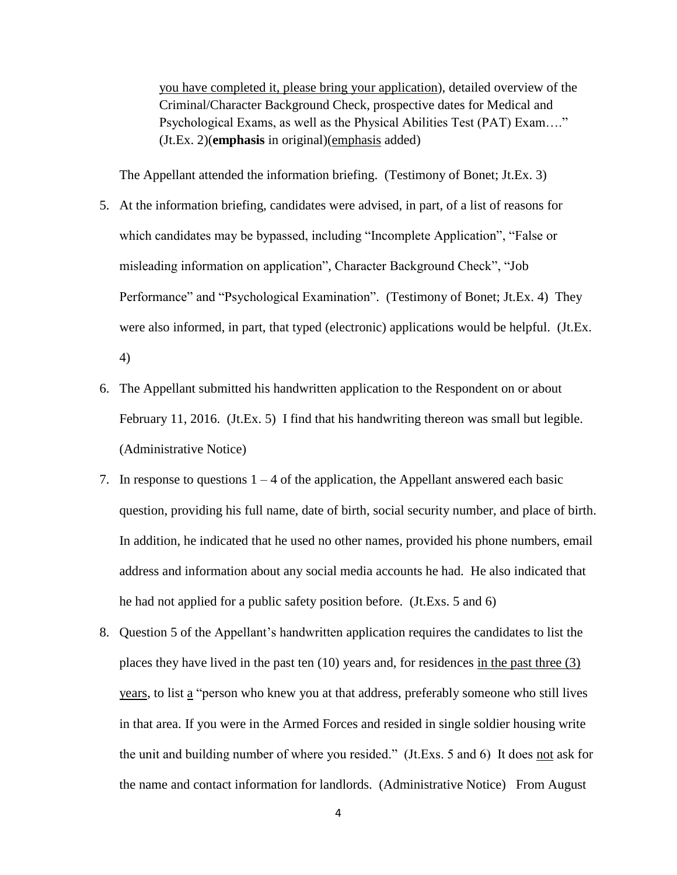you have completed it, please bring your application), detailed overview of the Criminal/Character Background Check, prospective dates for Medical and Psychological Exams, as well as the Physical Abilities Test (PAT) Exam…." (Jt.Ex. 2)(**emphasis** in original)(emphasis added)

The Appellant attended the information briefing. (Testimony of Bonet; Jt.Ex. 3)

- 5. At the information briefing, candidates were advised, in part, of a list of reasons for which candidates may be bypassed, including "Incomplete Application", "False or misleading information on application", Character Background Check", "Job Performance" and "Psychological Examination". (Testimony of Bonet; Jt.Ex. 4) They were also informed, in part, that typed (electronic) applications would be helpful. (Jt.Ex. 4)
- 6. The Appellant submitted his handwritten application to the Respondent on or about February 11, 2016. (Jt.Ex. 5) I find that his handwriting thereon was small but legible. (Administrative Notice)
- 7. In response to questions  $1 4$  of the application, the Appellant answered each basic question, providing his full name, date of birth, social security number, and place of birth. In addition, he indicated that he used no other names, provided his phone numbers, email address and information about any social media accounts he had. He also indicated that he had not applied for a public safety position before. (Jt.Exs. 5 and 6)
- 8. Question 5 of the Appellant's handwritten application requires the candidates to list the places they have lived in the past ten (10) years and, for residences in the past three (3) years, to list a "person who knew you at that address, preferably someone who still lives in that area. If you were in the Armed Forces and resided in single soldier housing write the unit and building number of where you resided." (Jt.Exs. 5 and 6) It does not ask for the name and contact information for landlords. (Administrative Notice) From August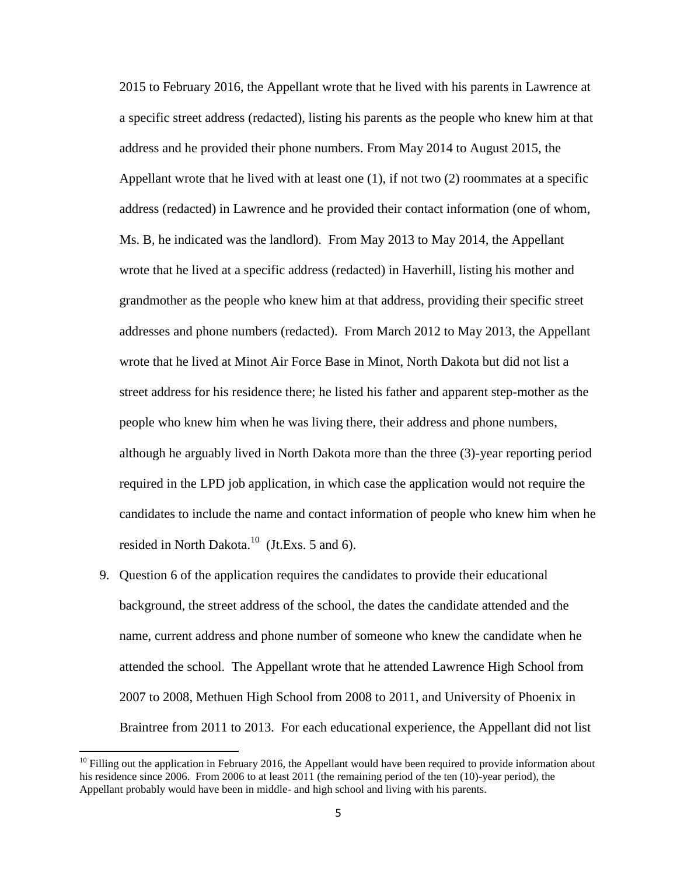2015 to February 2016, the Appellant wrote that he lived with his parents in Lawrence at a specific street address (redacted), listing his parents as the people who knew him at that address and he provided their phone numbers. From May 2014 to August 2015, the Appellant wrote that he lived with at least one  $(1)$ , if not two  $(2)$  roommates at a specific address (redacted) in Lawrence and he provided their contact information (one of whom, Ms. B, he indicated was the landlord). From May 2013 to May 2014, the Appellant wrote that he lived at a specific address (redacted) in Haverhill, listing his mother and grandmother as the people who knew him at that address, providing their specific street addresses and phone numbers (redacted). From March 2012 to May 2013, the Appellant wrote that he lived at Minot Air Force Base in Minot, North Dakota but did not list a street address for his residence there; he listed his father and apparent step-mother as the people who knew him when he was living there, their address and phone numbers, although he arguably lived in North Dakota more than the three (3)-year reporting period required in the LPD job application, in which case the application would not require the candidates to include the name and contact information of people who knew him when he resided in North Dakota. $10$  (Jt.Exs. 5 and 6).

9. Question 6 of the application requires the candidates to provide their educational background, the street address of the school, the dates the candidate attended and the name, current address and phone number of someone who knew the candidate when he attended the school. The Appellant wrote that he attended Lawrence High School from 2007 to 2008, Methuen High School from 2008 to 2011, and University of Phoenix in Braintree from 2011 to 2013. For each educational experience, the Appellant did not list

 $\overline{\phantom{a}}$ 

 $10$  Filling out the application in February 2016, the Appellant would have been required to provide information about his residence since 2006. From 2006 to at least 2011 (the remaining period of the ten (10)-year period), the Appellant probably would have been in middle- and high school and living with his parents.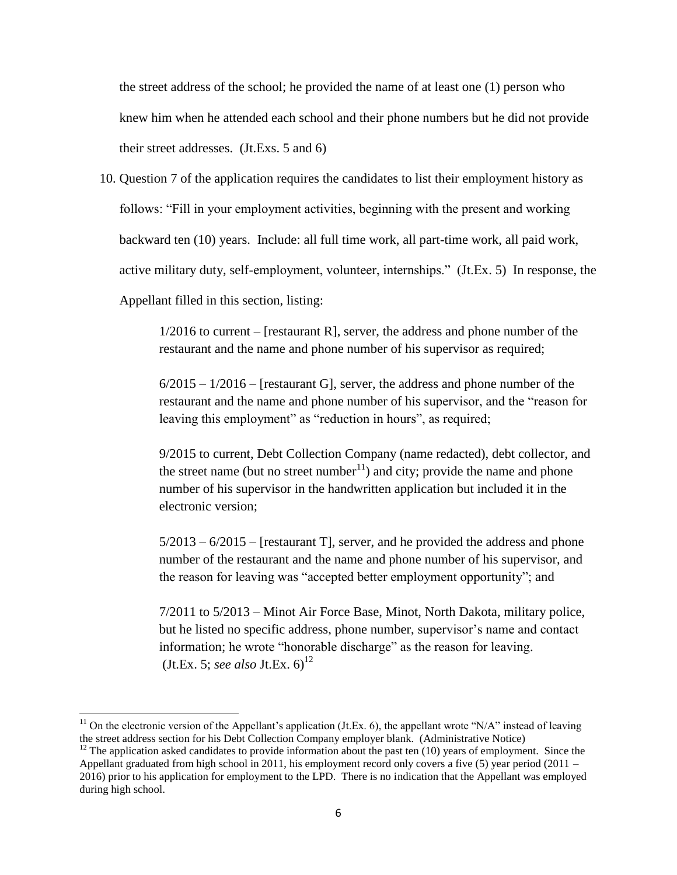the street address of the school; he provided the name of at least one (1) person who knew him when he attended each school and their phone numbers but he did not provide their street addresses. (Jt.Exs. 5 and 6)

10. Question 7 of the application requires the candidates to list their employment history as follows: "Fill in your employment activities, beginning with the present and working backward ten (10) years. Include: all full time work, all part-time work, all paid work, active military duty, self-employment, volunteer, internships." (Jt.Ex. 5) In response, the Appellant filled in this section, listing:

> 1/2016 to current – [restaurant R], server, the address and phone number of the restaurant and the name and phone number of his supervisor as required;

 $6/2015 - 1/2016$  – [restaurant G], server, the address and phone number of the restaurant and the name and phone number of his supervisor, and the "reason for leaving this employment" as "reduction in hours", as required;

9/2015 to current, Debt Collection Company (name redacted), debt collector, and the street name (but no street number<sup>11</sup>) and city; provide the name and phone number of his supervisor in the handwritten application but included it in the electronic version;

5/2013 – 6/2015 – [restaurant T], server, and he provided the address and phone number of the restaurant and the name and phone number of his supervisor, and the reason for leaving was "accepted better employment opportunity"; and

7/2011 to 5/2013 – Minot Air Force Base, Minot, North Dakota, military police, but he listed no specific address, phone number, supervisor's name and contact information; he wrote "honorable discharge" as the reason for leaving. (Jt.Ex. 5; *see also* Jt.Ex.  $6)^{12}$ 

l

<sup>&</sup>lt;sup>11</sup> On the electronic version of the Appellant's application (Jt.Ex. 6), the appellant wrote "N/A" instead of leaving the street address section for his Debt Collection Company employer blank. (Administrative Notice)

<sup>&</sup>lt;sup>12</sup> The application asked candidates to provide information about the past ten (10) years of employment. Since the Appellant graduated from high school in 2011, his employment record only covers a five (5) year period (2011 – 2016) prior to his application for employment to the LPD. There is no indication that the Appellant was employed during high school.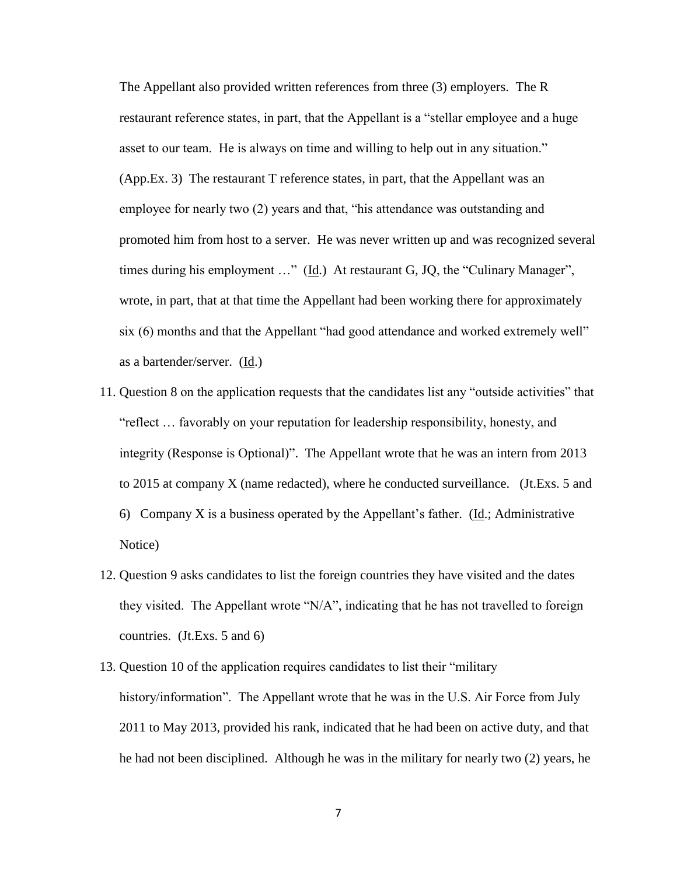The Appellant also provided written references from three (3) employers. The R restaurant reference states, in part, that the Appellant is a "stellar employee and a huge asset to our team. He is always on time and willing to help out in any situation." (App.Ex. 3) The restaurant T reference states, in part, that the Appellant was an employee for nearly two (2) years and that, "his attendance was outstanding and promoted him from host to a server. He was never written up and was recognized several times during his employment  $\ldots$ " (Id.) At restaurant G, JQ, the "Culinary Manager", wrote, in part, that at that time the Appellant had been working there for approximately six (6) months and that the Appellant "had good attendance and worked extremely well" as a bartender/server. (Id.)

- 11. Question 8 on the application requests that the candidates list any "outside activities" that "reflect … favorably on your reputation for leadership responsibility, honesty, and integrity (Response is Optional)". The Appellant wrote that he was an intern from 2013 to 2015 at company X (name redacted), where he conducted surveillance. (Jt.Exs. 5 and 6) Company X is a business operated by the Appellant's father. ( $\underline{Id}$ .; Administrative Notice)
- 12. Question 9 asks candidates to list the foreign countries they have visited and the dates they visited. The Appellant wrote "N/A", indicating that he has not travelled to foreign countries. (Jt.Exs. 5 and 6)
- 13. Question 10 of the application requires candidates to list their "military history/information". The Appellant wrote that he was in the U.S. Air Force from July 2011 to May 2013, provided his rank, indicated that he had been on active duty, and that he had not been disciplined. Although he was in the military for nearly two (2) years, he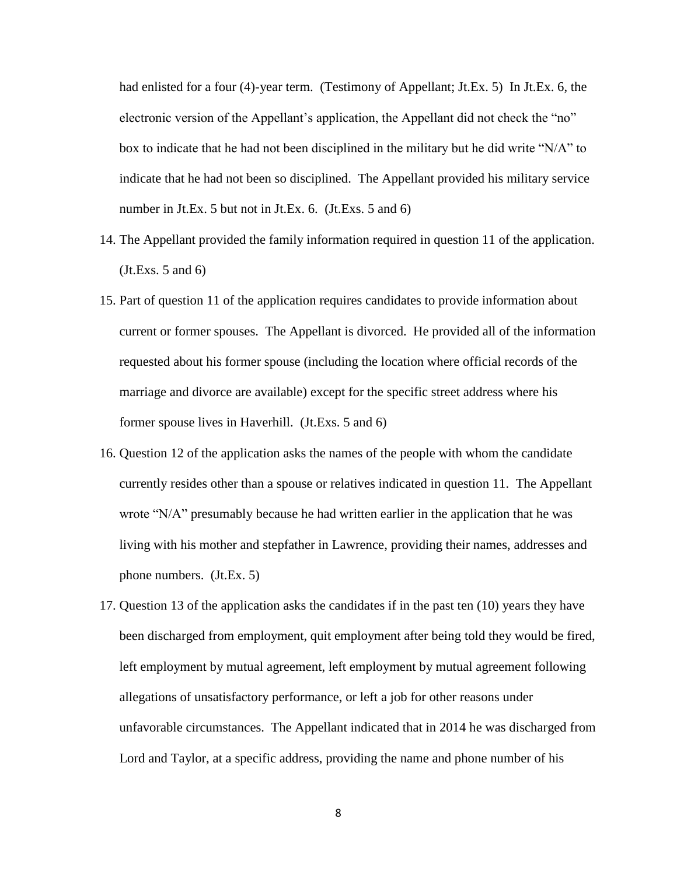had enlisted for a four (4)-year term. (Testimony of Appellant; Jt.Ex. 5) In Jt.Ex. 6, the electronic version of the Appellant's application, the Appellant did not check the "no" box to indicate that he had not been disciplined in the military but he did write "N/A" to indicate that he had not been so disciplined. The Appellant provided his military service number in Jt.Ex. 5 but not in Jt.Ex. 6. (Jt.Exs. 5 and 6)

- 14. The Appellant provided the family information required in question 11 of the application. (Jt.Exs. 5 and 6)
- 15. Part of question 11 of the application requires candidates to provide information about current or former spouses. The Appellant is divorced. He provided all of the information requested about his former spouse (including the location where official records of the marriage and divorce are available) except for the specific street address where his former spouse lives in Haverhill. (Jt.Exs. 5 and 6)
- 16. Question 12 of the application asks the names of the people with whom the candidate currently resides other than a spouse or relatives indicated in question 11. The Appellant wrote "N/A" presumably because he had written earlier in the application that he was living with his mother and stepfather in Lawrence, providing their names, addresses and phone numbers. (Jt.Ex. 5)
- 17. Question 13 of the application asks the candidates if in the past ten (10) years they have been discharged from employment, quit employment after being told they would be fired, left employment by mutual agreement, left employment by mutual agreement following allegations of unsatisfactory performance, or left a job for other reasons under unfavorable circumstances. The Appellant indicated that in 2014 he was discharged from Lord and Taylor, at a specific address, providing the name and phone number of his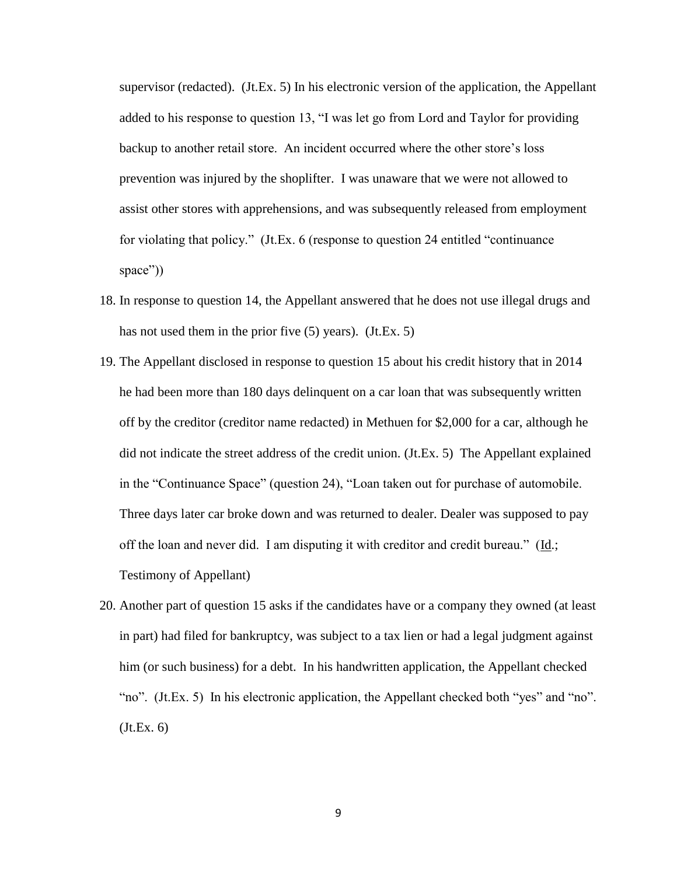supervisor (redacted). (Jt.Ex. 5) In his electronic version of the application, the Appellant added to his response to question 13, "I was let go from Lord and Taylor for providing backup to another retail store. An incident occurred where the other store's loss prevention was injured by the shoplifter. I was unaware that we were not allowed to assist other stores with apprehensions, and was subsequently released from employment for violating that policy." (Jt.Ex. 6 (response to question 24 entitled "continuance space"))

- 18. In response to question 14, the Appellant answered that he does not use illegal drugs and has not used them in the prior five (5) years). (Jt.Ex. 5)
- 19. The Appellant disclosed in response to question 15 about his credit history that in 2014 he had been more than 180 days delinquent on a car loan that was subsequently written off by the creditor (creditor name redacted) in Methuen for \$2,000 for a car, although he did not indicate the street address of the credit union. (Jt.Ex. 5) The Appellant explained in the "Continuance Space" (question 24), "Loan taken out for purchase of automobile. Three days later car broke down and was returned to dealer. Dealer was supposed to pay off the loan and never did. I am disputing it with creditor and credit bureau." (Id.; Testimony of Appellant)
- 20. Another part of question 15 asks if the candidates have or a company they owned (at least in part) had filed for bankruptcy, was subject to a tax lien or had a legal judgment against him (or such business) for a debt. In his handwritten application, the Appellant checked "no". (Jt.Ex. 5) In his electronic application, the Appellant checked both "yes" and "no". (Jt.Ex. 6)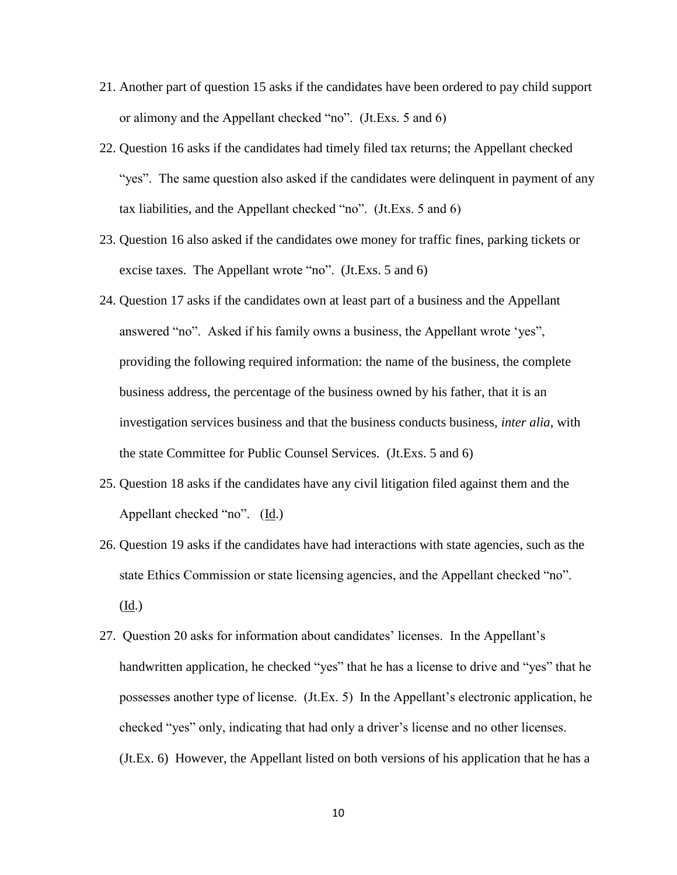- 21. Another part of question 15 asks if the candidates have been ordered to pay child support or alimony and the Appellant checked "no". (Jt.Exs. 5 and 6)
- 22. Question 16 asks if the candidates had timely filed tax returns; the Appellant checked "yes". The same question also asked if the candidates were delinquent in payment of any tax liabilities, and the Appellant checked "no". (Jt.Exs. 5 and 6)
- 23. Question 16 also asked if the candidates owe money for traffic fines, parking tickets or excise taxes. The Appellant wrote "no". (Jt.Exs. 5 and 6)
- 24. Question 17 asks if the candidates own at least part of a business and the Appellant answered "no". Asked if his family owns a business, the Appellant wrote 'yes", providing the following required information: the name of the business, the complete business address, the percentage of the business owned by his father, that it is an investigation services business and that the business conducts business, *inter alia*, with the state Committee for Public Counsel Services. (Jt.Exs. 5 and 6)
- 25. Question 18 asks if the candidates have any civil litigation filed against them and the Appellant checked "no". (Id.)
- 26. Question 19 asks if the candidates have had interactions with state agencies, such as the state Ethics Commission or state licensing agencies, and the Appellant checked "no". (Id.)
- 27. Question 20 asks for information about candidates' licenses. In the Appellant's handwritten application, he checked "yes" that he has a license to drive and "yes" that he possesses another type of license. (Jt.Ex. 5) In the Appellant's electronic application, he checked "yes" only, indicating that had only a driver's license and no other licenses. (Jt.Ex. 6) However, the Appellant listed on both versions of his application that he has a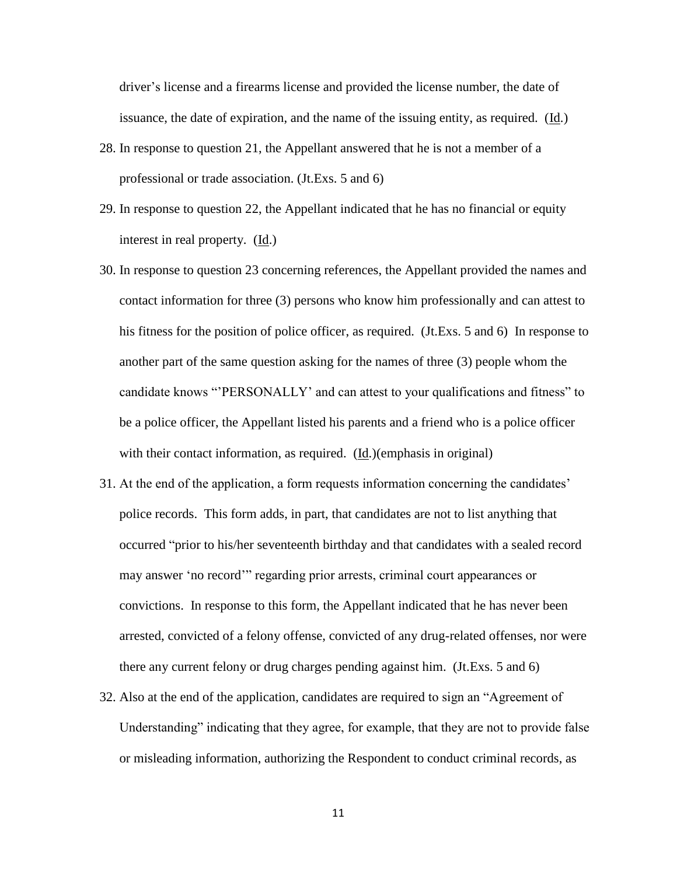driver's license and a firearms license and provided the license number, the date of issuance, the date of expiration, and the name of the issuing entity, as required. (Id.)

- 28. In response to question 21, the Appellant answered that he is not a member of a professional or trade association. (Jt.Exs. 5 and 6)
- 29. In response to question 22, the Appellant indicated that he has no financial or equity interest in real property. (Id.)
- 30. In response to question 23 concerning references, the Appellant provided the names and contact information for three (3) persons who know him professionally and can attest to his fitness for the position of police officer, as required. (Jt.Exs. 5 and 6) In response to another part of the same question asking for the names of three (3) people whom the candidate knows "'PERSONALLY' and can attest to your qualifications and fitness" to be a police officer, the Appellant listed his parents and a friend who is a police officer with their contact information, as required.  $(\underline{Id})$  (emphasis in original)
- 31. At the end of the application, a form requests information concerning the candidates' police records. This form adds, in part, that candidates are not to list anything that occurred "prior to his/her seventeenth birthday and that candidates with a sealed record may answer 'no record'" regarding prior arrests, criminal court appearances or convictions. In response to this form, the Appellant indicated that he has never been arrested, convicted of a felony offense, convicted of any drug-related offenses, nor were there any current felony or drug charges pending against him. (Jt.Exs. 5 and 6)
- 32. Also at the end of the application, candidates are required to sign an "Agreement of Understanding" indicating that they agree, for example, that they are not to provide false or misleading information, authorizing the Respondent to conduct criminal records, as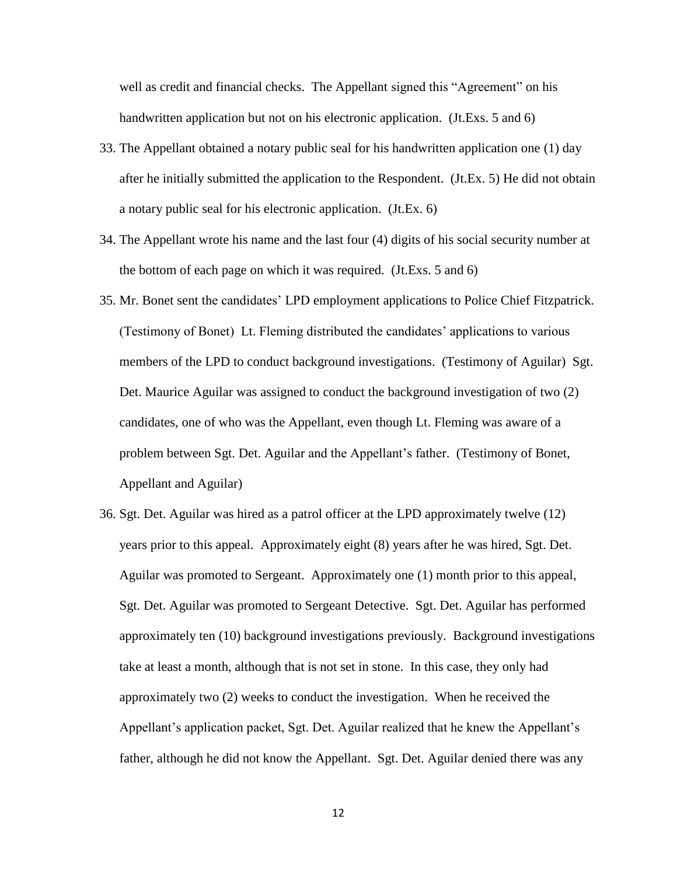well as credit and financial checks. The Appellant signed this "Agreement" on his handwritten application but not on his electronic application. (Jt.Exs. 5 and 6)

- 33. The Appellant obtained a notary public seal for his handwritten application one (1) day after he initially submitted the application to the Respondent. (Jt.Ex. 5) He did not obtain a notary public seal for his electronic application. (Jt.Ex. 6)
- 34. The Appellant wrote his name and the last four (4) digits of his social security number at the bottom of each page on which it was required. (Jt.Exs. 5 and 6)
- 35. Mr. Bonet sent the candidates' LPD employment applications to Police Chief Fitzpatrick. (Testimony of Bonet) Lt. Fleming distributed the candidates' applications to various members of the LPD to conduct background investigations. (Testimony of Aguilar) Sgt. Det. Maurice Aguilar was assigned to conduct the background investigation of two (2) candidates, one of who was the Appellant, even though Lt. Fleming was aware of a problem between Sgt. Det. Aguilar and the Appellant's father. (Testimony of Bonet, Appellant and Aguilar)
- 36. Sgt. Det. Aguilar was hired as a patrol officer at the LPD approximately twelve (12) years prior to this appeal. Approximately eight (8) years after he was hired, Sgt. Det. Aguilar was promoted to Sergeant. Approximately one (1) month prior to this appeal, Sgt. Det. Aguilar was promoted to Sergeant Detective. Sgt. Det. Aguilar has performed approximately ten (10) background investigations previously. Background investigations take at least a month, although that is not set in stone. In this case, they only had approximately two (2) weeks to conduct the investigation. When he received the Appellant's application packet, Sgt. Det. Aguilar realized that he knew the Appellant's father, although he did not know the Appellant. Sgt. Det. Aguilar denied there was any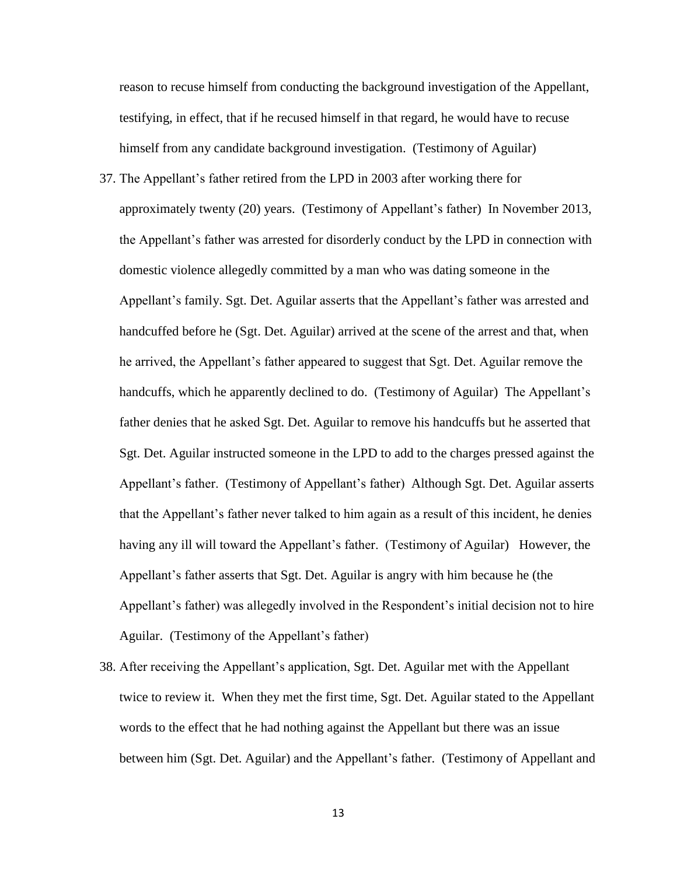reason to recuse himself from conducting the background investigation of the Appellant, testifying, in effect, that if he recused himself in that regard, he would have to recuse himself from any candidate background investigation. (Testimony of Aguilar)

- 37. The Appellant's father retired from the LPD in 2003 after working there for approximately twenty (20) years. (Testimony of Appellant's father) In November 2013, the Appellant's father was arrested for disorderly conduct by the LPD in connection with domestic violence allegedly committed by a man who was dating someone in the Appellant's family. Sgt. Det. Aguilar asserts that the Appellant's father was arrested and handcuffed before he (Sgt. Det. Aguilar) arrived at the scene of the arrest and that, when he arrived, the Appellant's father appeared to suggest that Sgt. Det. Aguilar remove the handcuffs, which he apparently declined to do. (Testimony of Aguilar) The Appellant's father denies that he asked Sgt. Det. Aguilar to remove his handcuffs but he asserted that Sgt. Det. Aguilar instructed someone in the LPD to add to the charges pressed against the Appellant's father. (Testimony of Appellant's father) Although Sgt. Det. Aguilar asserts that the Appellant's father never talked to him again as a result of this incident, he denies having any ill will toward the Appellant's father. (Testimony of Aguilar) However, the Appellant's father asserts that Sgt. Det. Aguilar is angry with him because he (the Appellant's father) was allegedly involved in the Respondent's initial decision not to hire Aguilar. (Testimony of the Appellant's father)
- 38. After receiving the Appellant's application, Sgt. Det. Aguilar met with the Appellant twice to review it. When they met the first time, Sgt. Det. Aguilar stated to the Appellant words to the effect that he had nothing against the Appellant but there was an issue between him (Sgt. Det. Aguilar) and the Appellant's father. (Testimony of Appellant and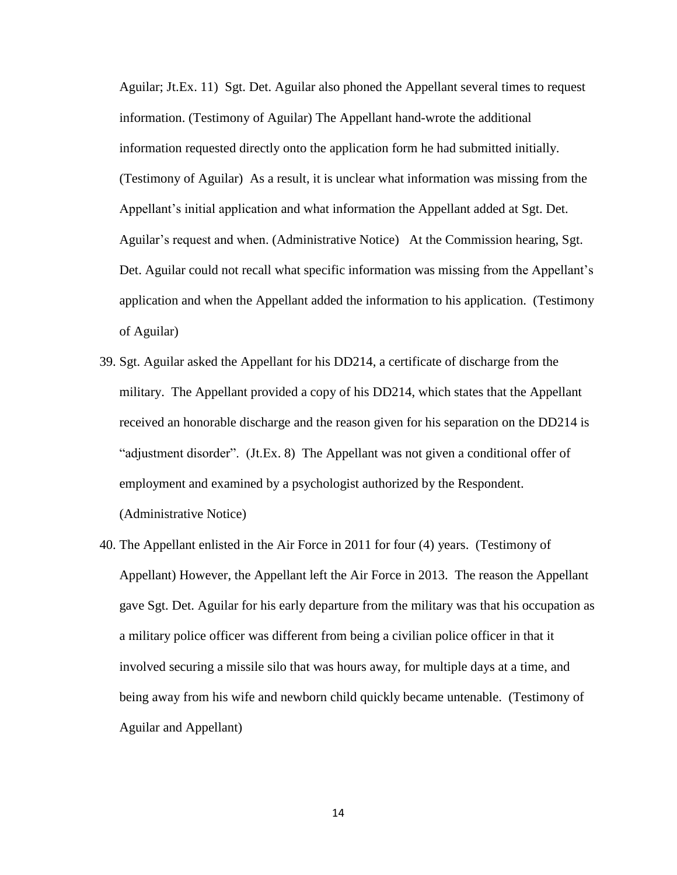Aguilar; Jt.Ex. 11) Sgt. Det. Aguilar also phoned the Appellant several times to request information. (Testimony of Aguilar) The Appellant hand-wrote the additional information requested directly onto the application form he had submitted initially. (Testimony of Aguilar) As a result, it is unclear what information was missing from the Appellant's initial application and what information the Appellant added at Sgt. Det. Aguilar's request and when. (Administrative Notice) At the Commission hearing, Sgt. Det. Aguilar could not recall what specific information was missing from the Appellant's application and when the Appellant added the information to his application. (Testimony of Aguilar)

- 39. Sgt. Aguilar asked the Appellant for his DD214, a certificate of discharge from the military. The Appellant provided a copy of his DD214, which states that the Appellant received an honorable discharge and the reason given for his separation on the DD214 is "adjustment disorder". (Jt.Ex. 8) The Appellant was not given a conditional offer of employment and examined by a psychologist authorized by the Respondent. (Administrative Notice)
- 40. The Appellant enlisted in the Air Force in 2011 for four (4) years. (Testimony of Appellant) However, the Appellant left the Air Force in 2013. The reason the Appellant gave Sgt. Det. Aguilar for his early departure from the military was that his occupation as a military police officer was different from being a civilian police officer in that it involved securing a missile silo that was hours away, for multiple days at a time, and being away from his wife and newborn child quickly became untenable. (Testimony of Aguilar and Appellant)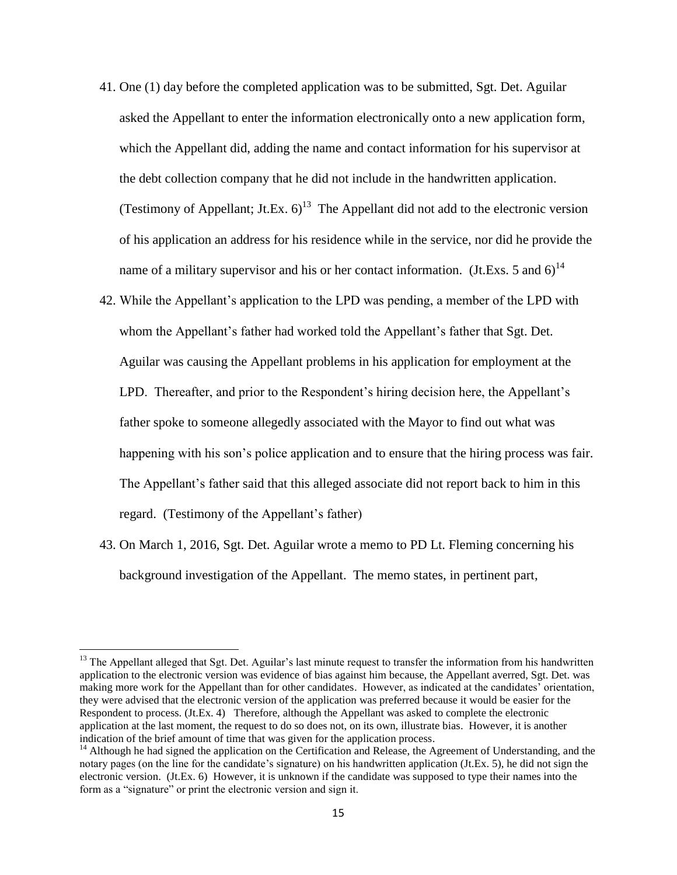- 41. One (1) day before the completed application was to be submitted, Sgt. Det. Aguilar asked the Appellant to enter the information electronically onto a new application form, which the Appellant did, adding the name and contact information for his supervisor at the debt collection company that he did not include in the handwritten application. (Testimony of Appellant; Jt.Ex.  $6$ )<sup>13</sup> The Appellant did not add to the electronic version of his application an address for his residence while in the service, nor did he provide the name of a military supervisor and his or her contact information. (Jt.Exs. 5 and  $6)^{14}$
- 42. While the Appellant's application to the LPD was pending, a member of the LPD with whom the Appellant's father had worked told the Appellant's father that Sgt. Det. Aguilar was causing the Appellant problems in his application for employment at the LPD. Thereafter, and prior to the Respondent's hiring decision here, the Appellant's father spoke to someone allegedly associated with the Mayor to find out what was happening with his son's police application and to ensure that the hiring process was fair. The Appellant's father said that this alleged associate did not report back to him in this regard. (Testimony of the Appellant's father)
- 43. On March 1, 2016, Sgt. Det. Aguilar wrote a memo to PD Lt. Fleming concerning his background investigation of the Appellant. The memo states, in pertinent part,

 $\overline{\phantom{a}}$ 

<sup>&</sup>lt;sup>13</sup> The Appellant alleged that Sgt. Det. Aguilar's last minute request to transfer the information from his handwritten application to the electronic version was evidence of bias against him because, the Appellant averred, Sgt. Det. was making more work for the Appellant than for other candidates. However, as indicated at the candidates' orientation, they were advised that the electronic version of the application was preferred because it would be easier for the Respondent to process. (Jt.Ex. 4) Therefore, although the Appellant was asked to complete the electronic application at the last moment, the request to do so does not, on its own, illustrate bias. However, it is another indication of the brief amount of time that was given for the application process.

<sup>&</sup>lt;sup>14</sup> Although he had signed the application on the Certification and Release, the Agreement of Understanding, and the notary pages (on the line for the candidate's signature) on his handwritten application (Jt.Ex. 5), he did not sign the electronic version. (Jt.Ex. 6) However, it is unknown if the candidate was supposed to type their names into the form as a "signature" or print the electronic version and sign it.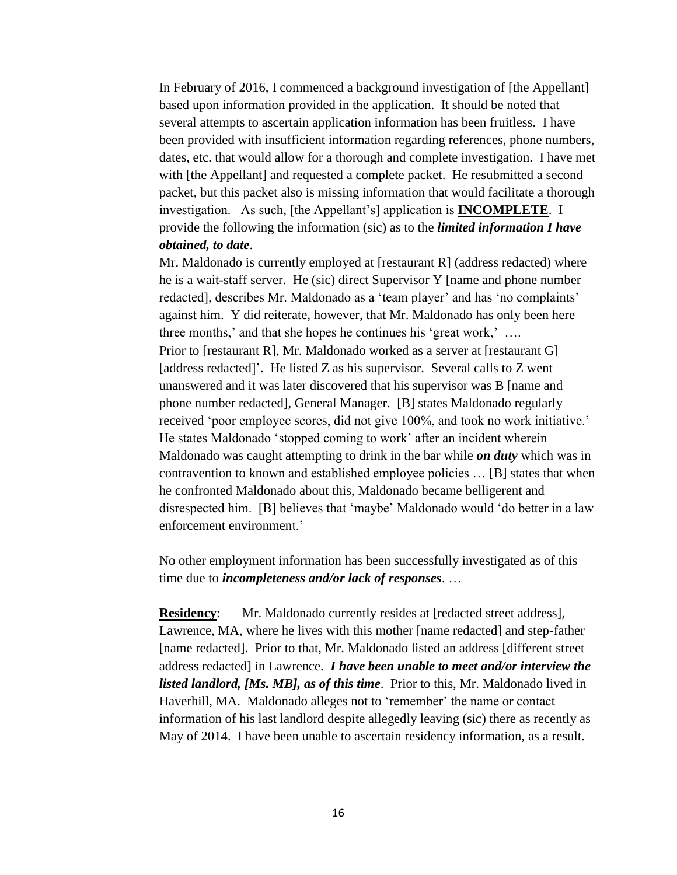In February of 2016, I commenced a background investigation of [the Appellant] based upon information provided in the application. It should be noted that several attempts to ascertain application information has been fruitless. I have been provided with insufficient information regarding references, phone numbers, dates, etc. that would allow for a thorough and complete investigation. I have met with [the Appellant] and requested a complete packet. He resubmitted a second packet, but this packet also is missing information that would facilitate a thorough investigation. As such, [the Appellant's] application is **INCOMPLETE**. I provide the following the information (sic) as to the *limited information I have obtained, to date*.

Mr. Maldonado is currently employed at [restaurant R] (address redacted) where he is a wait-staff server. He (sic) direct Supervisor Y [name and phone number redacted], describes Mr. Maldonado as a 'team player' and has 'no complaints' against him. Y did reiterate, however, that Mr. Maldonado has only been here three months,' and that she hopes he continues his 'great work,' …. Prior to [restaurant R], Mr. Maldonado worked as a server at [restaurant G] [address redacted]'. He listed Z as his supervisor. Several calls to Z went unanswered and it was later discovered that his supervisor was B [name and phone number redacted], General Manager. [B] states Maldonado regularly received 'poor employee scores, did not give 100%, and took no work initiative.' He states Maldonado 'stopped coming to work' after an incident wherein Maldonado was caught attempting to drink in the bar while *on duty* which was in contravention to known and established employee policies … [B] states that when he confronted Maldonado about this, Maldonado became belligerent and disrespected him. [B] believes that 'maybe' Maldonado would 'do better in a law enforcement environment.'

No other employment information has been successfully investigated as of this time due to *incompleteness and/or lack of responses*. …

**Residency:** Mr. Maldonado currently resides at [redacted street address], Lawrence, MA, where he lives with this mother [name redacted] and step-father [name redacted]. Prior to that, Mr. Maldonado listed an address [different street address redacted] in Lawrence. *I have been unable to meet and/or interview the listed landlord, [Ms. MB], as of this time*. Prior to this, Mr. Maldonado lived in Haverhill, MA. Maldonado alleges not to 'remember' the name or contact information of his last landlord despite allegedly leaving (sic) there as recently as May of 2014. I have been unable to ascertain residency information, as a result.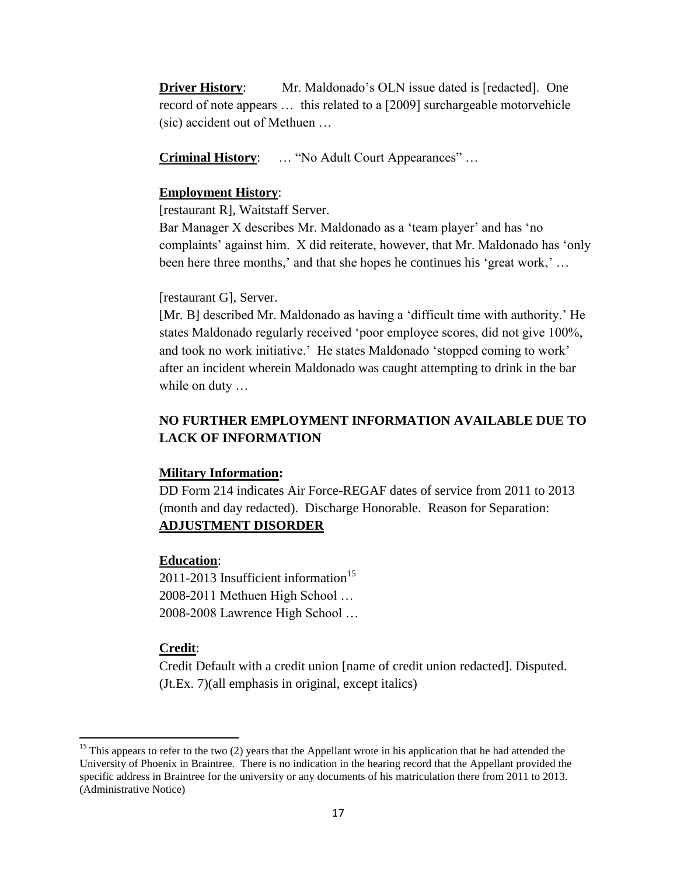**Driver History:** Mr. Maldonado's OLN issue dated is [redacted]. One record of note appears … this related to a [2009] surchargeable motorvehicle (sic) accident out of Methuen …

**Criminal History**: … "No Adult Court Appearances" …

### **Employment History**:

[restaurant R], Waitstaff Server.

Bar Manager X describes Mr. Maldonado as a 'team player' and has 'no complaints' against him. X did reiterate, however, that Mr. Maldonado has 'only been here three months,' and that she hopes he continues his 'great work,' …

## [restaurant G], Server.

[Mr. B] described Mr. Maldonado as having a 'difficult time with authority.' He states Maldonado regularly received 'poor employee scores, did not give 100%, and took no work initiative.' He states Maldonado 'stopped coming to work' after an incident wherein Maldonado was caught attempting to drink in the bar while on duty …

# **NO FURTHER EMPLOYMENT INFORMATION AVAILABLE DUE TO LACK OF INFORMATION**

#### **Military Information:**

DD Form 214 indicates Air Force-REGAF dates of service from 2011 to 2013 (month and day redacted). Discharge Honorable. Reason for Separation: **ADJUSTMENT DISORDER**

## **Education**:

 $2011-2013$  Insufficient information<sup>15</sup> 2008-2011 Methuen High School … 2008-2008 Lawrence High School …

#### **Credit**:

 $\overline{\phantom{a}}$ 

Credit Default with a credit union [name of credit union redacted]. Disputed. (Jt.Ex. 7)(all emphasis in original, except italics)

<sup>&</sup>lt;sup>15</sup> This appears to refer to the two  $(2)$  years that the Appellant wrote in his application that he had attended the University of Phoenix in Braintree. There is no indication in the hearing record that the Appellant provided the specific address in Braintree for the university or any documents of his matriculation there from 2011 to 2013. (Administrative Notice)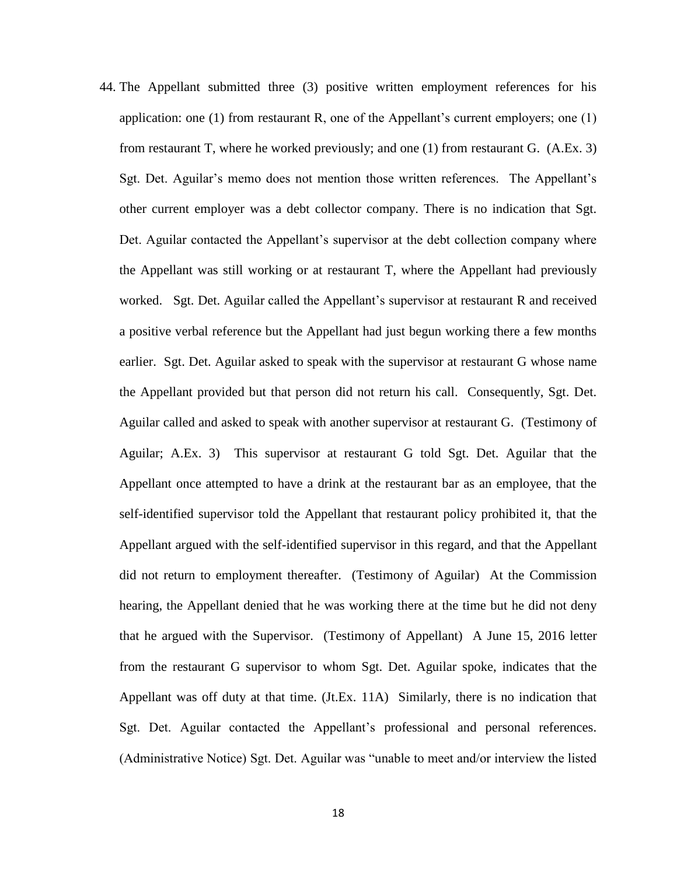44. The Appellant submitted three (3) positive written employment references for his application: one  $(1)$  from restaurant R, one of the Appellant's current employers; one  $(1)$ from restaurant T, where he worked previously; and one (1) from restaurant G. (A.Ex. 3) Sgt. Det. Aguilar's memo does not mention those written references. The Appellant's other current employer was a debt collector company. There is no indication that Sgt. Det. Aguilar contacted the Appellant's supervisor at the debt collection company where the Appellant was still working or at restaurant T, where the Appellant had previously worked. Sgt. Det. Aguilar called the Appellant's supervisor at restaurant R and received a positive verbal reference but the Appellant had just begun working there a few months earlier. Sgt. Det. Aguilar asked to speak with the supervisor at restaurant G whose name the Appellant provided but that person did not return his call. Consequently, Sgt. Det. Aguilar called and asked to speak with another supervisor at restaurant G. (Testimony of Aguilar; A.Ex. 3) This supervisor at restaurant G told Sgt. Det. Aguilar that the Appellant once attempted to have a drink at the restaurant bar as an employee, that the self-identified supervisor told the Appellant that restaurant policy prohibited it, that the Appellant argued with the self-identified supervisor in this regard, and that the Appellant did not return to employment thereafter. (Testimony of Aguilar) At the Commission hearing, the Appellant denied that he was working there at the time but he did not deny that he argued with the Supervisor. (Testimony of Appellant) A June 15, 2016 letter from the restaurant G supervisor to whom Sgt. Det. Aguilar spoke, indicates that the Appellant was off duty at that time. (Jt.Ex. 11A) Similarly, there is no indication that Sgt. Det. Aguilar contacted the Appellant's professional and personal references. (Administrative Notice) Sgt. Det. Aguilar was "unable to meet and/or interview the listed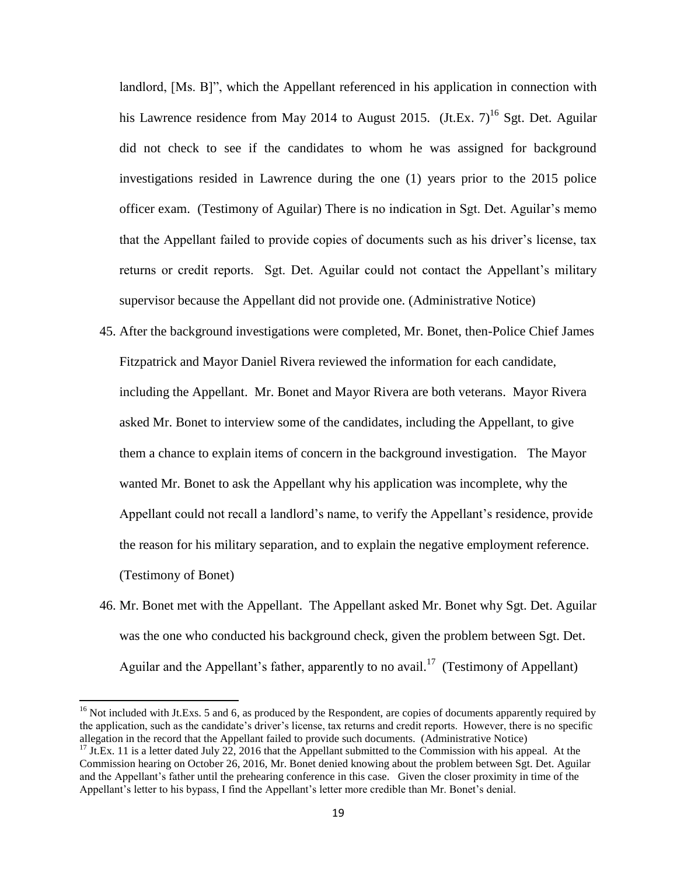landlord, [Ms. B]", which the Appellant referenced in his application in connection with his Lawrence residence from May 2014 to August 2015. (Jt.Ex.  $7)^{16}$  Sgt. Det. Aguilar did not check to see if the candidates to whom he was assigned for background investigations resided in Lawrence during the one (1) years prior to the 2015 police officer exam. (Testimony of Aguilar) There is no indication in Sgt. Det. Aguilar's memo that the Appellant failed to provide copies of documents such as his driver's license, tax returns or credit reports. Sgt. Det. Aguilar could not contact the Appellant's military supervisor because the Appellant did not provide one. (Administrative Notice)

- 45. After the background investigations were completed, Mr. Bonet, then-Police Chief James Fitzpatrick and Mayor Daniel Rivera reviewed the information for each candidate, including the Appellant. Mr. Bonet and Mayor Rivera are both veterans. Mayor Rivera asked Mr. Bonet to interview some of the candidates, including the Appellant, to give them a chance to explain items of concern in the background investigation. The Mayor wanted Mr. Bonet to ask the Appellant why his application was incomplete, why the Appellant could not recall a landlord's name, to verify the Appellant's residence, provide the reason for his military separation, and to explain the negative employment reference. (Testimony of Bonet)
- 46. Mr. Bonet met with the Appellant. The Appellant asked Mr. Bonet why Sgt. Det. Aguilar was the one who conducted his background check, given the problem between Sgt. Det. Aguilar and the Appellant's father, apparently to no avail.<sup>17</sup> (Testimony of Appellant)

 $\overline{\phantom{a}}$ 

<sup>&</sup>lt;sup>16</sup> Not included with Jt.Exs. 5 and 6, as produced by the Respondent, are copies of documents apparently required by the application, such as the candidate's driver's license, tax returns and credit reports. However, there is no specific allegation in the record that the Appellant failed to provide such documents. (Administrative Notice)

<sup>&</sup>lt;sup>17</sup> Jt.Ex. 11 is a letter dated July 22, 2016 that the Appellant submitted to the Commission with his appeal. At the Commission hearing on October 26, 2016, Mr. Bonet denied knowing about the problem between Sgt. Det. Aguilar and the Appellant's father until the prehearing conference in this case. Given the closer proximity in time of the Appellant's letter to his bypass, I find the Appellant's letter more credible than Mr. Bonet's denial.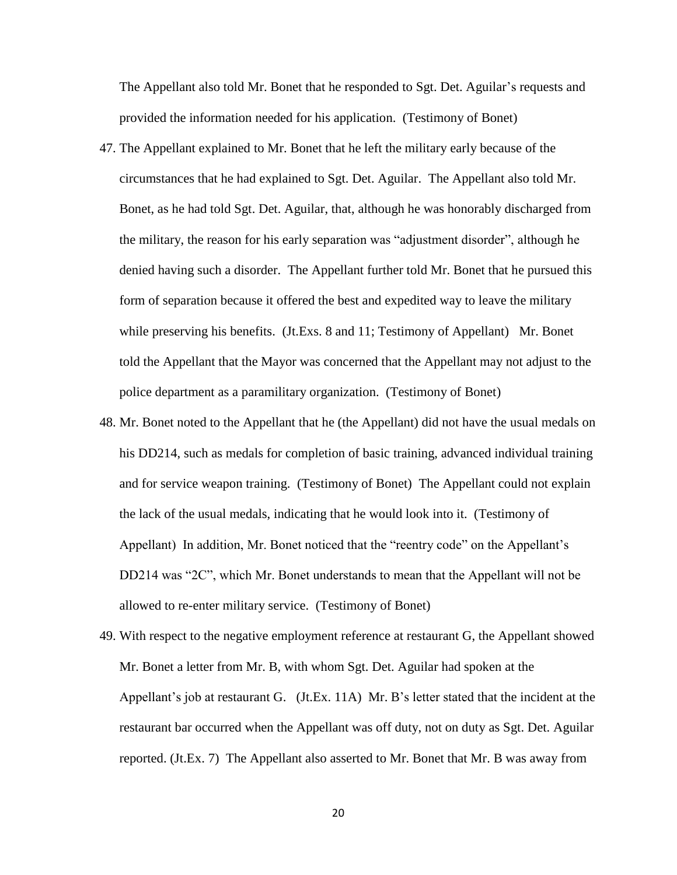The Appellant also told Mr. Bonet that he responded to Sgt. Det. Aguilar's requests and provided the information needed for his application. (Testimony of Bonet)

- 47. The Appellant explained to Mr. Bonet that he left the military early because of the circumstances that he had explained to Sgt. Det. Aguilar. The Appellant also told Mr. Bonet, as he had told Sgt. Det. Aguilar, that, although he was honorably discharged from the military, the reason for his early separation was "adjustment disorder", although he denied having such a disorder. The Appellant further told Mr. Bonet that he pursued this form of separation because it offered the best and expedited way to leave the military while preserving his benefits. (Jt.Exs. 8 and 11; Testimony of Appellant) Mr. Bonet told the Appellant that the Mayor was concerned that the Appellant may not adjust to the police department as a paramilitary organization. (Testimony of Bonet)
- 48. Mr. Bonet noted to the Appellant that he (the Appellant) did not have the usual medals on his DD214, such as medals for completion of basic training, advanced individual training and for service weapon training. (Testimony of Bonet) The Appellant could not explain the lack of the usual medals, indicating that he would look into it. (Testimony of Appellant) In addition, Mr. Bonet noticed that the "reentry code" on the Appellant's DD214 was "2C", which Mr. Bonet understands to mean that the Appellant will not be allowed to re-enter military service. (Testimony of Bonet)
- 49. With respect to the negative employment reference at restaurant G, the Appellant showed Mr. Bonet a letter from Mr. B, with whom Sgt. Det. Aguilar had spoken at the Appellant's job at restaurant G. (Jt.Ex. 11A) Mr. B's letter stated that the incident at the restaurant bar occurred when the Appellant was off duty, not on duty as Sgt. Det. Aguilar reported. (Jt.Ex. 7) The Appellant also asserted to Mr. Bonet that Mr. B was away from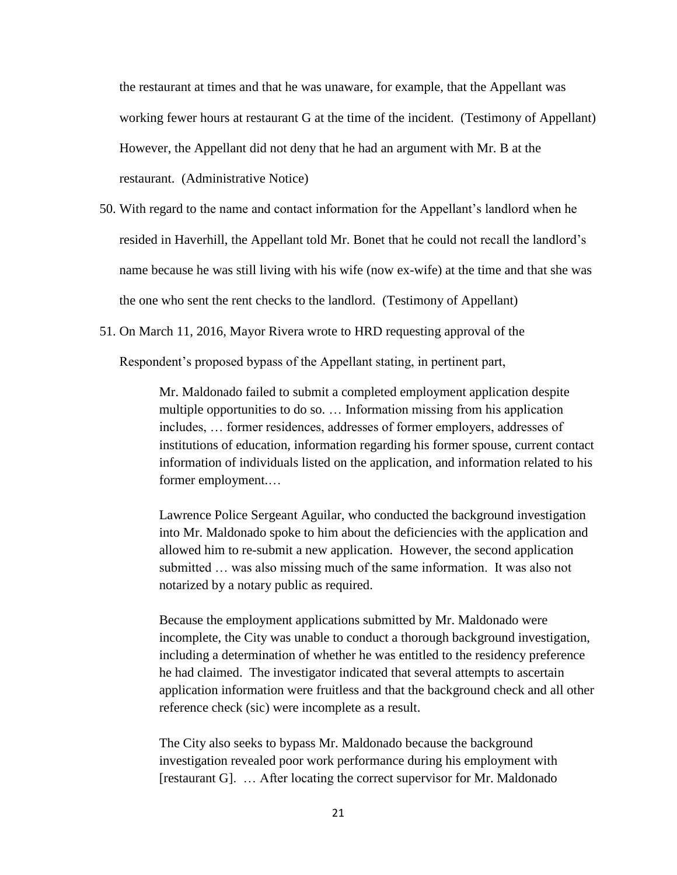the restaurant at times and that he was unaware, for example, that the Appellant was working fewer hours at restaurant G at the time of the incident. (Testimony of Appellant) However, the Appellant did not deny that he had an argument with Mr. B at the restaurant. (Administrative Notice)

- 50. With regard to the name and contact information for the Appellant's landlord when he resided in Haverhill, the Appellant told Mr. Bonet that he could not recall the landlord's name because he was still living with his wife (now ex-wife) at the time and that she was the one who sent the rent checks to the landlord. (Testimony of Appellant)
- 51. On March 11, 2016, Mayor Rivera wrote to HRD requesting approval of the

Respondent's proposed bypass of the Appellant stating, in pertinent part,

Mr. Maldonado failed to submit a completed employment application despite multiple opportunities to do so. … Information missing from his application includes, … former residences, addresses of former employers, addresses of institutions of education, information regarding his former spouse, current contact information of individuals listed on the application, and information related to his former employment.…

Lawrence Police Sergeant Aguilar, who conducted the background investigation into Mr. Maldonado spoke to him about the deficiencies with the application and allowed him to re-submit a new application. However, the second application submitted … was also missing much of the same information. It was also not notarized by a notary public as required.

Because the employment applications submitted by Mr. Maldonado were incomplete, the City was unable to conduct a thorough background investigation, including a determination of whether he was entitled to the residency preference he had claimed. The investigator indicated that several attempts to ascertain application information were fruitless and that the background check and all other reference check (sic) were incomplete as a result.

The City also seeks to bypass Mr. Maldonado because the background investigation revealed poor work performance during his employment with [restaurant G]. … After locating the correct supervisor for Mr. Maldonado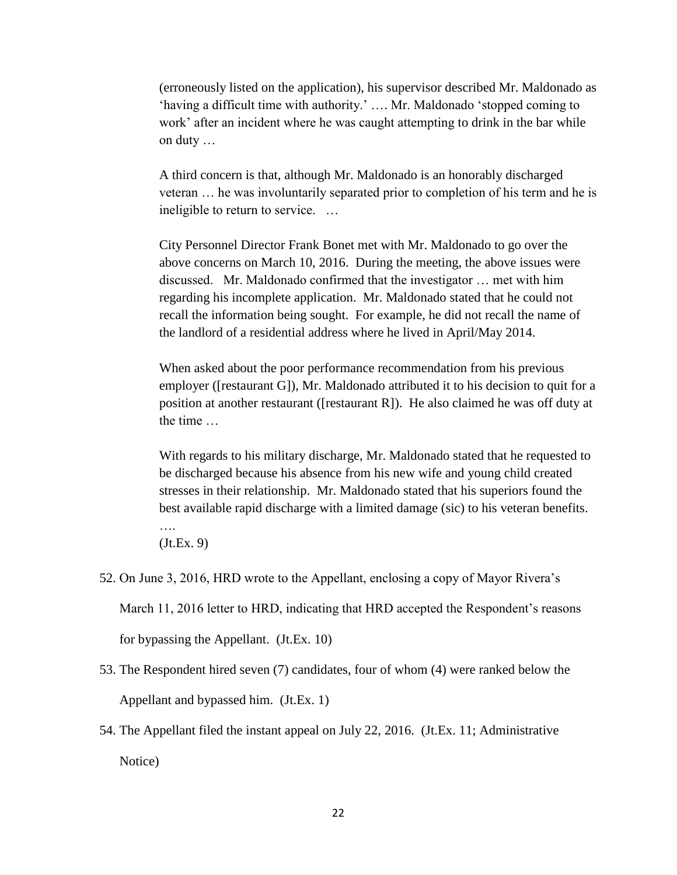(erroneously listed on the application), his supervisor described Mr. Maldonado as 'having a difficult time with authority.' …. Mr. Maldonado 'stopped coming to work' after an incident where he was caught attempting to drink in the bar while on duty …

A third concern is that, although Mr. Maldonado is an honorably discharged veteran … he was involuntarily separated prior to completion of his term and he is ineligible to return to service. …

City Personnel Director Frank Bonet met with Mr. Maldonado to go over the above concerns on March 10, 2016. During the meeting, the above issues were discussed. Mr. Maldonado confirmed that the investigator … met with him regarding his incomplete application. Mr. Maldonado stated that he could not recall the information being sought. For example, he did not recall the name of the landlord of a residential address where he lived in April/May 2014.

When asked about the poor performance recommendation from his previous employer ([restaurant G]), Mr. Maldonado attributed it to his decision to quit for a position at another restaurant ([restaurant R]). He also claimed he was off duty at the time …

With regards to his military discharge, Mr. Maldonado stated that he requested to be discharged because his absence from his new wife and young child created stresses in their relationship. Mr. Maldonado stated that his superiors found the best available rapid discharge with a limited damage (sic) to his veteran benefits.

(Jt.Ex. 9)

….

- 52. On June 3, 2016, HRD wrote to the Appellant, enclosing a copy of Mayor Rivera's March 11, 2016 letter to HRD, indicating that HRD accepted the Respondent's reasons for bypassing the Appellant. (Jt.Ex. 10)
- 53. The Respondent hired seven (7) candidates, four of whom (4) were ranked below the Appellant and bypassed him. (Jt.Ex. 1)
- 54. The Appellant filed the instant appeal on July 22, 2016. (Jt.Ex. 11; Administrative Notice)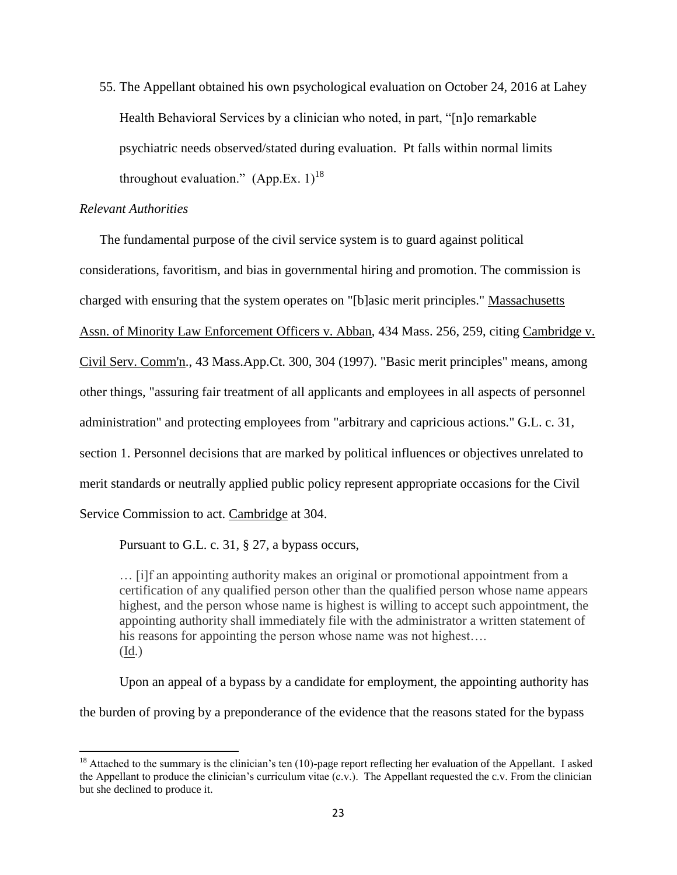55. The Appellant obtained his own psychological evaluation on October 24, 2016 at Lahey Health Behavioral Services by a clinician who noted, in part, "[n]o remarkable psychiatric needs observed/stated during evaluation. Pt falls within normal limits throughout evaluation."  $(App.Ex. 1)^{18}$ 

#### *Relevant Authorities*

 $\overline{\phantom{a}}$ 

The fundamental purpose of the civil service system is to guard against political considerations, favoritism, and bias in governmental hiring and promotion. The commission is charged with ensuring that the system operates on "[b]asic merit principles." Massachusetts Assn. of Minority Law Enforcement Officers v. Abban, 434 Mass. 256, 259, citing Cambridge v. Civil Serv. Comm'n., 43 Mass.App.Ct. 300, 304 (1997). "Basic merit principles" means, among other things, "assuring fair treatment of all applicants and employees in all aspects of personnel administration" and protecting employees from "arbitrary and capricious actions." G.L. c. 31, section 1. Personnel decisions that are marked by political influences or objectives unrelated to merit standards or neutrally applied public policy represent appropriate occasions for the Civil Service Commission to act. Cambridge at 304.

Pursuant to G.L. c. 31, § 27, a bypass occurs,

… [i]f an appointing authority makes an original or promotional appointment from a certification of any qualified person other than the qualified person whose name appears highest, and the person whose name is highest is willing to accept such appointment, the appointing authority shall immediately file with the administrator a written statement of his reasons for appointing the person whose name was not highest.... (Id.)

Upon an appeal of a bypass by a candidate for employment, the appointing authority has the burden of proving by a preponderance of the evidence that the reasons stated for the bypass

 $18$  Attached to the summary is the clinician's ten (10)-page report reflecting her evaluation of the Appellant. I asked the Appellant to produce the clinician's curriculum vitae  $(c.v.)$ . The Appellant requested the c.v. From the clinician but she declined to produce it.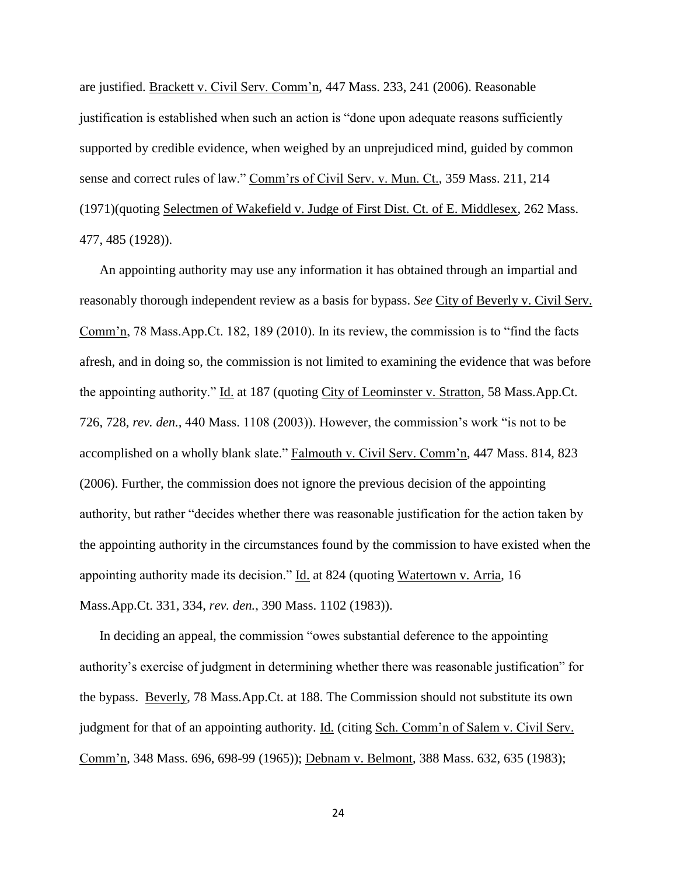are justified. Brackett v. Civil Serv. Comm'n, 447 Mass. 233, 241 (2006). Reasonable justification is established when such an action is "done upon adequate reasons sufficiently supported by credible evidence, when weighed by an unprejudiced mind, guided by common sense and correct rules of law." Comm'rs of Civil Serv. v. Mun. Ct., 359 Mass. 211, 214 (1971)(quoting Selectmen of Wakefield v. Judge of First Dist. Ct. of E. Middlesex, 262 Mass. 477, 485 (1928)).

An appointing authority may use any information it has obtained through an impartial and reasonably thorough independent review as a basis for bypass. *See* City of Beverly v. Civil Serv. Comm'n, 78 Mass.App.Ct. 182, 189 (2010). In its review, the commission is to "find the facts afresh, and in doing so, the commission is not limited to examining the evidence that was before the appointing authority." Id. at 187 (quoting City of Leominster v. Stratton, 58 Mass.App.Ct. 726, 728, *rev. den.,* 440 Mass. 1108 (2003)). However, the commission's work "is not to be accomplished on a wholly blank slate." Falmouth v. Civil Serv. Comm'n, 447 Mass. 814, 823 (2006). Further, the commission does not ignore the previous decision of the appointing authority, but rather "decides whether there was reasonable justification for the action taken by the appointing authority in the circumstances found by the commission to have existed when the appointing authority made its decision." Id. at 824 (quoting Watertown v. Arria, 16 Mass.App.Ct. 331, 334, *rev. den.*, 390 Mass. 1102 (1983)).

In deciding an appeal, the commission "owes substantial deference to the appointing authority's exercise of judgment in determining whether there was reasonable justification" for the bypass. Beverly, 78 Mass.App.Ct. at 188. The Commission should not substitute its own judgment for that of an appointing authority. Id. (citing Sch. Comm'n of Salem v. Civil Serv. Comm'n, 348 Mass. 696, 698-99 (1965)); Debnam v. Belmont, 388 Mass. 632, 635 (1983);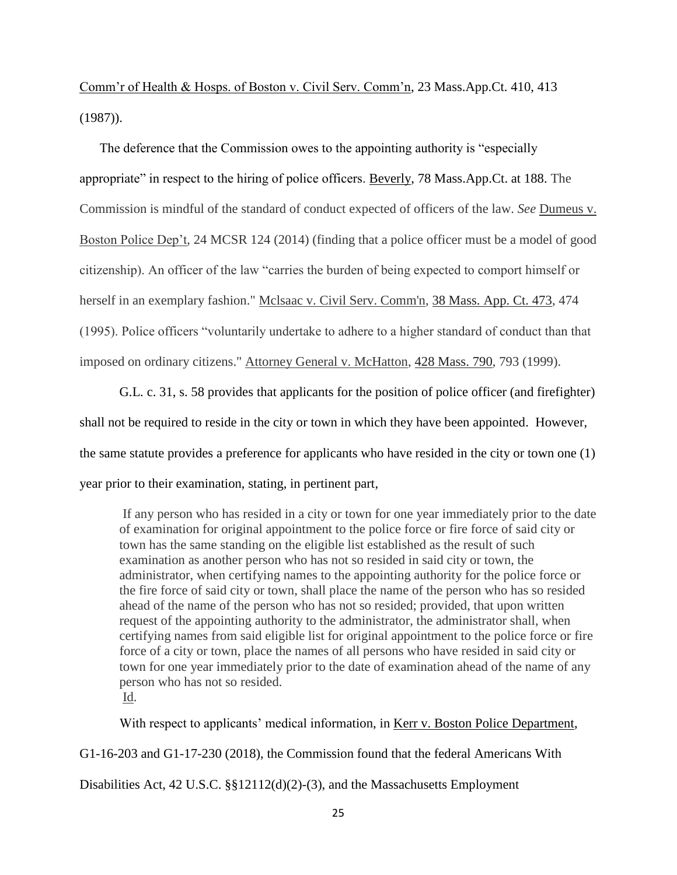Comm'r of Health & Hosps. of Boston v. Civil Serv. Comm'n, 23 Mass.App.Ct. 410, 413 (1987)).

The deference that the Commission owes to the appointing authority is "especially appropriate" in respect to the hiring of police officers. Beverly, 78 Mass.App.Ct. at 188. The Commission is mindful of the standard of conduct expected of officers of the law. *See* Dumeus v. Boston Police Dep't, 24 MCSR 124 (2014) (finding that a police officer must be a model of good citizenship). An officer of the law "carries the burden of being expected to comport himself or herself in an exemplary fashion." Mclsaac v. Civil Serv. Comm'n, [38 Mass. App. Ct. 473,](http://sll.gvpi.net/document.php?id=sjcapp:38_mass_app_ct_473) 474 (1995). Police officers "voluntarily undertake to adhere to a higher standard of conduct than that imposed on ordinary citizens." Attorney General v. McHatton, [428 Mass. 790,](http://sll.gvpi.net/document.php?id=sjcapp:428_mass_790) 793 (1999).

G.L. c. 31, s. 58 provides that applicants for the position of police officer (and firefighter) shall not be required to reside in the city or town in which they have been appointed. However, the same statute provides a preference for applicants who have resided in the city or town one (1) year prior to their examination, stating, in pertinent part,

If any person who has resided in a city or town for one year immediately prior to the date of examination for original appointment to the police force or fire force of said city or town has the same standing on the eligible list established as the result of such examination as another person who has not so resided in said city or town, the administrator, when certifying names to the appointing authority for the police force or the fire force of said city or town, shall place the name of the person who has so resided ahead of the name of the person who has not so resided; provided, that upon written request of the appointing authority to the administrator, the administrator shall, when certifying names from said eligible list for original appointment to the police force or fire force of a city or town, place the names of all persons who have resided in said city or town for one year immediately prior to the date of examination ahead of the name of any person who has not so resided. Id.

With respect to applicants' medical information, in Kerr v. Boston Police Department, G1-16-203 and G1-17-230 (2018), the Commission found that the federal Americans With

Disabilities Act, 42 U.S.C.  $\S$ [2112(d)(2)-(3), and the Massachusetts Employment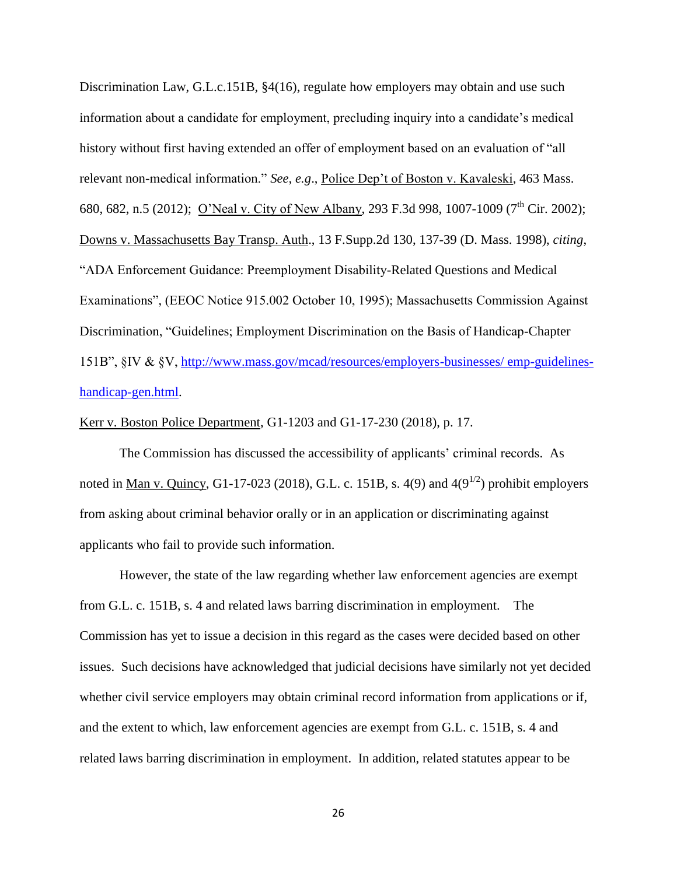Discrimination Law, G.L.c.151B, §4(16), regulate how employers may obtain and use such information about a candidate for employment, precluding inquiry into a candidate's medical history without first having extended an offer of employment based on an evaluation of "all relevant non-medical information." *See, e.g*., Police Dep't of Boston v. Kavaleski, 463 Mass. 680, 682, n.5 (2012); O'Neal v. City of New Albany, 293 F.3d 998, 1007-1009 (7<sup>th</sup> Cir. 2002); Downs v. Massachusetts Bay Transp. Auth., 13 F.Supp.2d 130, 137-39 (D. Mass. 1998), *citing*, "ADA Enforcement Guidance: Preemployment Disability-Related Questions and Medical Examinations", (EEOC Notice 915.002 October 10, 1995); Massachusetts Commission Against Discrimination, "Guidelines; Employment Discrimination on the Basis of Handicap-Chapter 151B", §IV & §V, [http://www.mass.gov/mcad/resources/employers-businesses/ emp-guidelines](http://www.mass.gov/mcad/resources/employers-businesses/%20emp-guidelines-handicap-gen.html)[handicap-gen.html.](http://www.mass.gov/mcad/resources/employers-businesses/%20emp-guidelines-handicap-gen.html)

Kerr v. Boston Police Department, G1-1203 and G1-17-230 (2018), p. 17.

The Commission has discussed the accessibility of applicants' criminal records. As noted in Man v. Quincy, G1-17-023 (2018), G.L. c. 151B, s. 4(9) and  $4(9^{1/2})$  prohibit employers from asking about criminal behavior orally or in an application or discriminating against applicants who fail to provide such information.

However, the state of the law regarding whether law enforcement agencies are exempt from G.L. c. 151B, s. 4 and related laws barring discrimination in employment. The Commission has yet to issue a decision in this regard as the cases were decided based on other issues. Such decisions have acknowledged that judicial decisions have similarly not yet decided whether civil service employers may obtain criminal record information from applications or if, and the extent to which, law enforcement agencies are exempt from G.L. c. 151B, s. 4 and related laws barring discrimination in employment. In addition, related statutes appear to be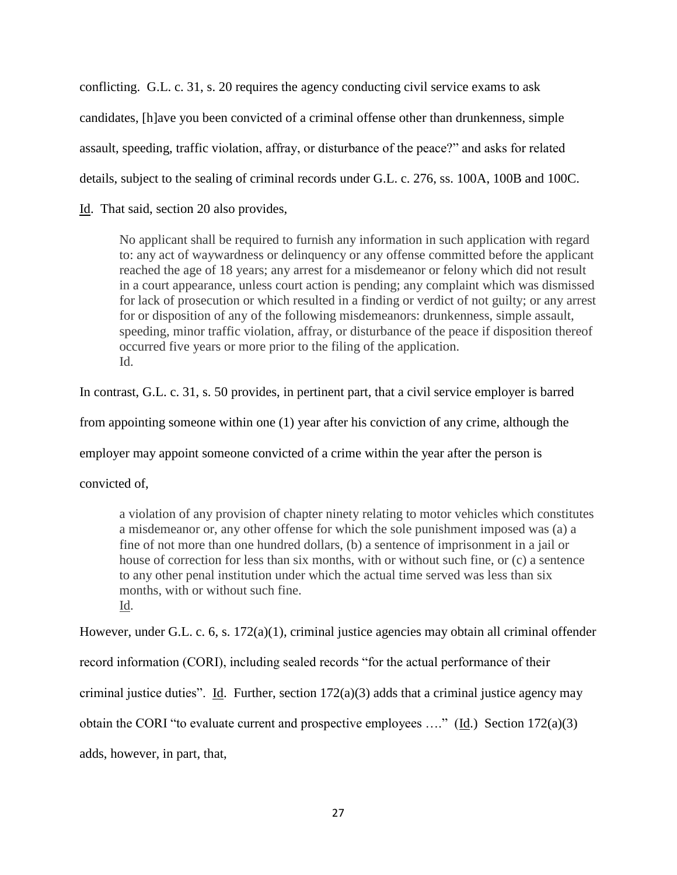conflicting. G.L. c. 31, s. 20 requires the agency conducting civil service exams to ask candidates, [h]ave you been convicted of a criminal offense other than drunkenness, simple assault, speeding, traffic violation, affray, or disturbance of the peace?" and asks for related details, subject to the sealing of criminal records under G.L. c. 276, ss. 100A, 100B and 100C.

Id. That said, section 20 also provides,

No applicant shall be required to furnish any information in such application with regard to: any act of waywardness or delinquency or any offense committed before the applicant reached the age of 18 years; any arrest for a misdemeanor or felony which did not result in a court appearance, unless court action is pending; any complaint which was dismissed for lack of prosecution or which resulted in a finding or verdict of not guilty; or any arrest for or disposition of any of the following misdemeanors: drunkenness, simple assault, speeding, minor traffic violation, affray, or disturbance of the peace if disposition thereof occurred five years or more prior to the filing of the application. Id.

In contrast, G.L. c. 31, s. 50 provides, in pertinent part, that a civil service employer is barred

from appointing someone within one (1) year after his conviction of any crime, although the

employer may appoint someone convicted of a crime within the year after the person is

convicted of,

a violation of any provision of chapter ninety relating to motor vehicles which constitutes a misdemeanor or, any other offense for which the sole punishment imposed was (a) a fine of not more than one hundred dollars, (b) a sentence of imprisonment in a jail or house of correction for less than six months, with or without such fine, or (c) a sentence to any other penal institution under which the actual time served was less than six months, with or without such fine. Id.

However, under G.L. c. 6, s. 172(a)(1), criminal justice agencies may obtain all criminal offender record information (CORI), including sealed records "for the actual performance of their criminal justice duties". Id. Further, section  $172(a)(3)$  adds that a criminal justice agency may obtain the CORI "to evaluate current and prospective employees ...." (Id.) Section 172(a)(3) adds, however, in part, that,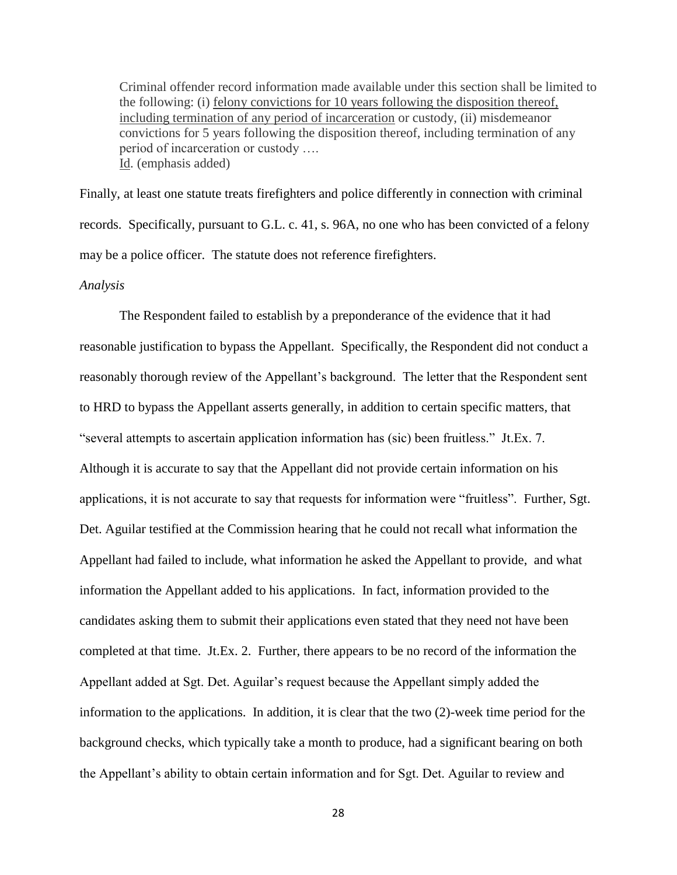Criminal offender record information made available under this section shall be limited to the following: (i) felony convictions for 10 years following the disposition thereof, including termination of any period of incarceration or custody, (ii) misdemeanor convictions for 5 years following the disposition thereof, including termination of any period of incarceration or custody …. Id. (emphasis added)

Finally, at least one statute treats firefighters and police differently in connection with criminal records. Specifically, pursuant to G.L. c. 41, s. 96A, no one who has been convicted of a felony may be a police officer. The statute does not reference firefighters.

#### *Analysis*

The Respondent failed to establish by a preponderance of the evidence that it had reasonable justification to bypass the Appellant. Specifically, the Respondent did not conduct a reasonably thorough review of the Appellant's background. The letter that the Respondent sent to HRD to bypass the Appellant asserts generally, in addition to certain specific matters, that "several attempts to ascertain application information has (sic) been fruitless." Jt.Ex. 7. Although it is accurate to say that the Appellant did not provide certain information on his applications, it is not accurate to say that requests for information were "fruitless". Further, Sgt. Det. Aguilar testified at the Commission hearing that he could not recall what information the Appellant had failed to include, what information he asked the Appellant to provide, and what information the Appellant added to his applications. In fact, information provided to the candidates asking them to submit their applications even stated that they need not have been completed at that time. Jt.Ex. 2. Further, there appears to be no record of the information the Appellant added at Sgt. Det. Aguilar's request because the Appellant simply added the information to the applications. In addition, it is clear that the two (2)-week time period for the background checks, which typically take a month to produce, had a significant bearing on both the Appellant's ability to obtain certain information and for Sgt. Det. Aguilar to review and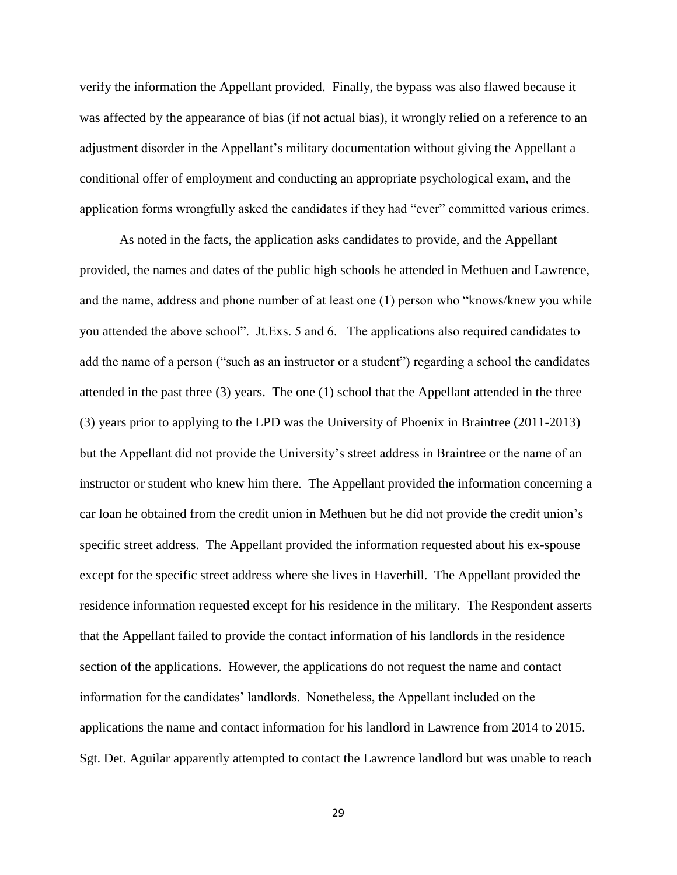verify the information the Appellant provided. Finally, the bypass was also flawed because it was affected by the appearance of bias (if not actual bias), it wrongly relied on a reference to an adjustment disorder in the Appellant's military documentation without giving the Appellant a conditional offer of employment and conducting an appropriate psychological exam, and the application forms wrongfully asked the candidates if they had "ever" committed various crimes.

As noted in the facts, the application asks candidates to provide, and the Appellant provided, the names and dates of the public high schools he attended in Methuen and Lawrence, and the name, address and phone number of at least one (1) person who "knows/knew you while you attended the above school". Jt.Exs. 5 and 6. The applications also required candidates to add the name of a person ("such as an instructor or a student") regarding a school the candidates attended in the past three (3) years. The one (1) school that the Appellant attended in the three (3) years prior to applying to the LPD was the University of Phoenix in Braintree (2011-2013) but the Appellant did not provide the University's street address in Braintree or the name of an instructor or student who knew him there. The Appellant provided the information concerning a car loan he obtained from the credit union in Methuen but he did not provide the credit union's specific street address. The Appellant provided the information requested about his ex-spouse except for the specific street address where she lives in Haverhill. The Appellant provided the residence information requested except for his residence in the military. The Respondent asserts that the Appellant failed to provide the contact information of his landlords in the residence section of the applications. However, the applications do not request the name and contact information for the candidates' landlords. Nonetheless, the Appellant included on the applications the name and contact information for his landlord in Lawrence from 2014 to 2015. Sgt. Det. Aguilar apparently attempted to contact the Lawrence landlord but was unable to reach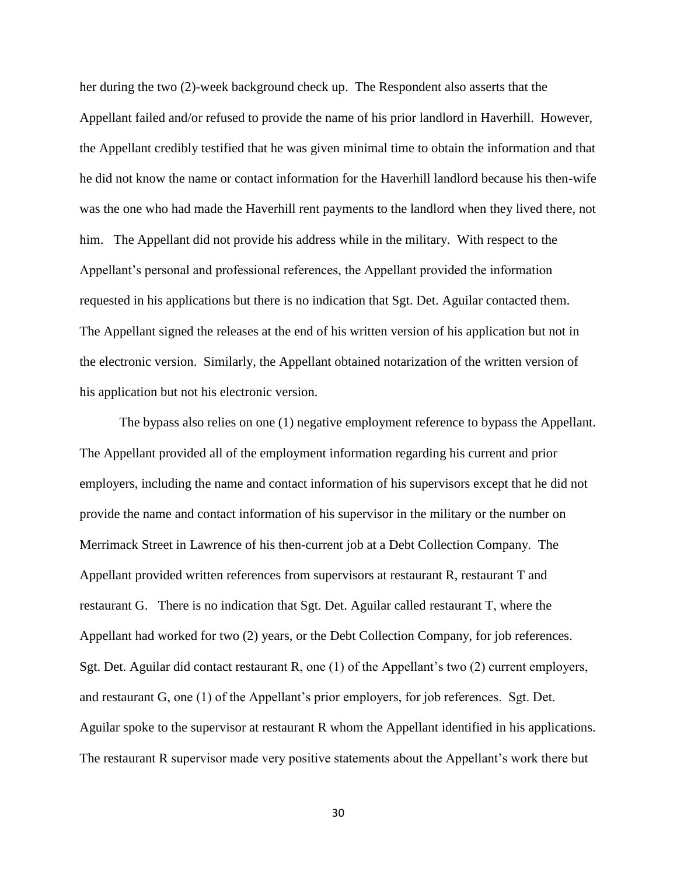her during the two (2)-week background check up. The Respondent also asserts that the Appellant failed and/or refused to provide the name of his prior landlord in Haverhill. However, the Appellant credibly testified that he was given minimal time to obtain the information and that he did not know the name or contact information for the Haverhill landlord because his then-wife was the one who had made the Haverhill rent payments to the landlord when they lived there, not him. The Appellant did not provide his address while in the military. With respect to the Appellant's personal and professional references, the Appellant provided the information requested in his applications but there is no indication that Sgt. Det. Aguilar contacted them. The Appellant signed the releases at the end of his written version of his application but not in the electronic version. Similarly, the Appellant obtained notarization of the written version of his application but not his electronic version.

The bypass also relies on one (1) negative employment reference to bypass the Appellant. The Appellant provided all of the employment information regarding his current and prior employers, including the name and contact information of his supervisors except that he did not provide the name and contact information of his supervisor in the military or the number on Merrimack Street in Lawrence of his then-current job at a Debt Collection Company. The Appellant provided written references from supervisors at restaurant R, restaurant T and restaurant G. There is no indication that Sgt. Det. Aguilar called restaurant T, where the Appellant had worked for two (2) years, or the Debt Collection Company, for job references. Sgt. Det. Aguilar did contact restaurant R, one (1) of the Appellant's two (2) current employers, and restaurant G, one (1) of the Appellant's prior employers, for job references. Sgt. Det. Aguilar spoke to the supervisor at restaurant R whom the Appellant identified in his applications. The restaurant R supervisor made very positive statements about the Appellant's work there but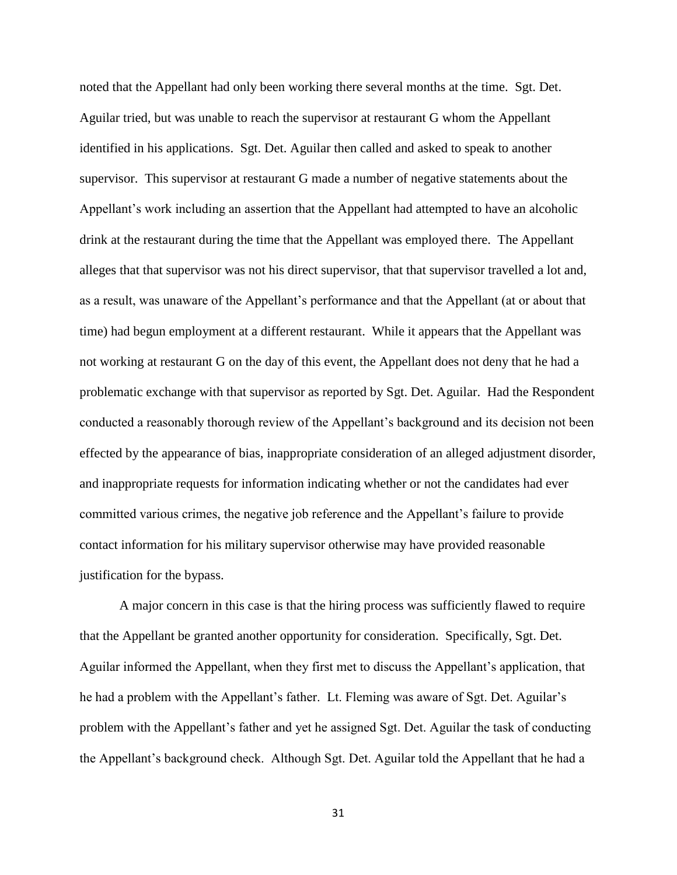noted that the Appellant had only been working there several months at the time. Sgt. Det. Aguilar tried, but was unable to reach the supervisor at restaurant G whom the Appellant identified in his applications. Sgt. Det. Aguilar then called and asked to speak to another supervisor. This supervisor at restaurant G made a number of negative statements about the Appellant's work including an assertion that the Appellant had attempted to have an alcoholic drink at the restaurant during the time that the Appellant was employed there. The Appellant alleges that that supervisor was not his direct supervisor, that that supervisor travelled a lot and, as a result, was unaware of the Appellant's performance and that the Appellant (at or about that time) had begun employment at a different restaurant. While it appears that the Appellant was not working at restaurant G on the day of this event, the Appellant does not deny that he had a problematic exchange with that supervisor as reported by Sgt. Det. Aguilar. Had the Respondent conducted a reasonably thorough review of the Appellant's background and its decision not been effected by the appearance of bias, inappropriate consideration of an alleged adjustment disorder, and inappropriate requests for information indicating whether or not the candidates had ever committed various crimes, the negative job reference and the Appellant's failure to provide contact information for his military supervisor otherwise may have provided reasonable justification for the bypass.

A major concern in this case is that the hiring process was sufficiently flawed to require that the Appellant be granted another opportunity for consideration. Specifically, Sgt. Det. Aguilar informed the Appellant, when they first met to discuss the Appellant's application, that he had a problem with the Appellant's father. Lt. Fleming was aware of Sgt. Det. Aguilar's problem with the Appellant's father and yet he assigned Sgt. Det. Aguilar the task of conducting the Appellant's background check. Although Sgt. Det. Aguilar told the Appellant that he had a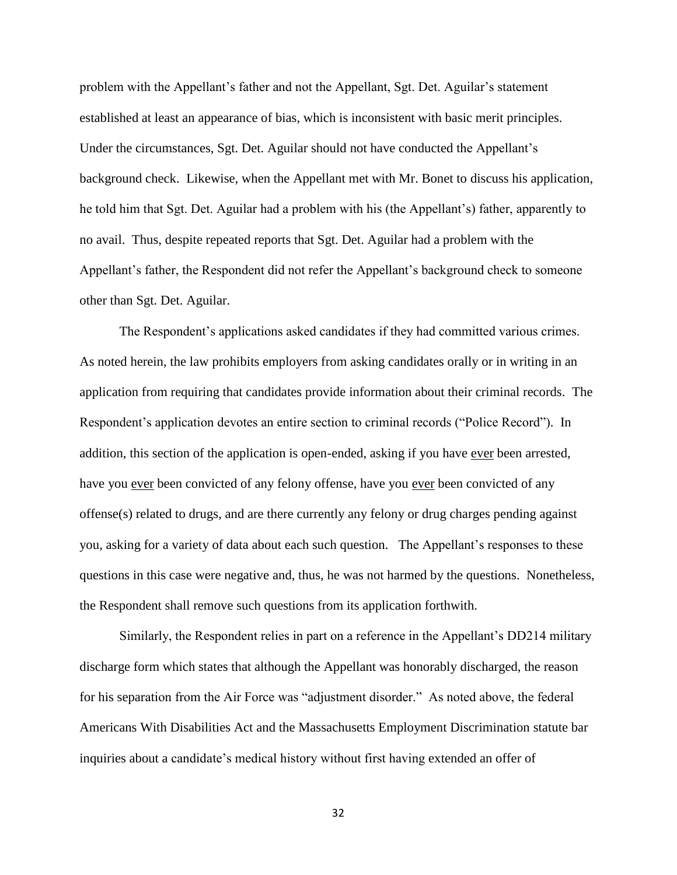problem with the Appellant's father and not the Appellant, Sgt. Det. Aguilar's statement established at least an appearance of bias, which is inconsistent with basic merit principles. Under the circumstances, Sgt. Det. Aguilar should not have conducted the Appellant's background check. Likewise, when the Appellant met with Mr. Bonet to discuss his application, he told him that Sgt. Det. Aguilar had a problem with his (the Appellant's) father, apparently to no avail. Thus, despite repeated reports that Sgt. Det. Aguilar had a problem with the Appellant's father, the Respondent did not refer the Appellant's background check to someone other than Sgt. Det. Aguilar.

The Respondent's applications asked candidates if they had committed various crimes. As noted herein, the law prohibits employers from asking candidates orally or in writing in an application from requiring that candidates provide information about their criminal records. The Respondent's application devotes an entire section to criminal records ("Police Record"). In addition, this section of the application is open-ended, asking if you have ever been arrested, have you ever been convicted of any felony offense, have you ever been convicted of any offense(s) related to drugs, and are there currently any felony or drug charges pending against you, asking for a variety of data about each such question. The Appellant's responses to these questions in this case were negative and, thus, he was not harmed by the questions. Nonetheless, the Respondent shall remove such questions from its application forthwith.

Similarly, the Respondent relies in part on a reference in the Appellant's DD214 military discharge form which states that although the Appellant was honorably discharged, the reason for his separation from the Air Force was "adjustment disorder." As noted above, the federal Americans With Disabilities Act and the Massachusetts Employment Discrimination statute bar inquiries about a candidate's medical history without first having extended an offer of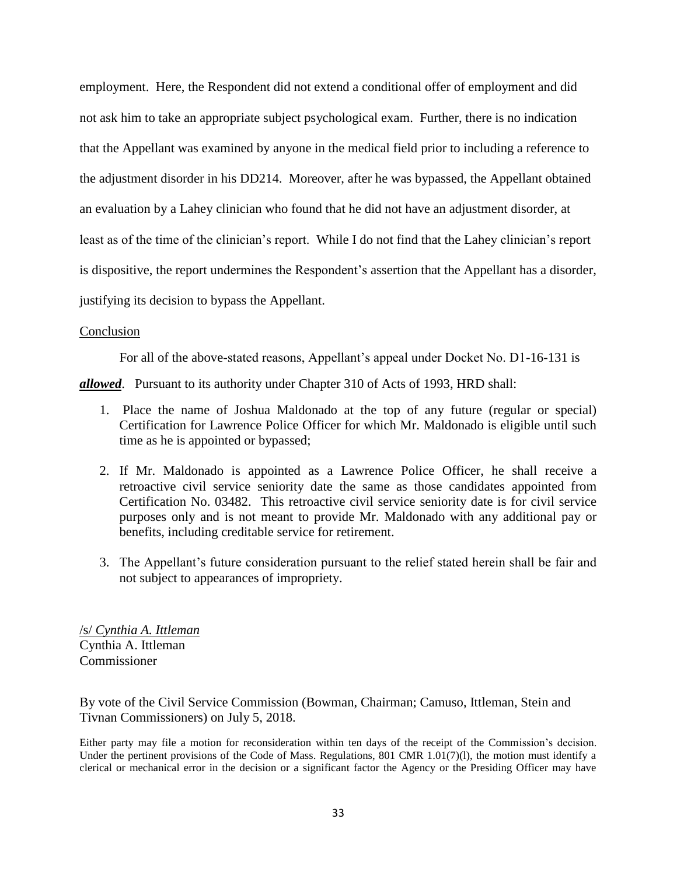employment. Here, the Respondent did not extend a conditional offer of employment and did not ask him to take an appropriate subject psychological exam. Further, there is no indication that the Appellant was examined by anyone in the medical field prior to including a reference to the adjustment disorder in his DD214. Moreover, after he was bypassed, the Appellant obtained an evaluation by a Lahey clinician who found that he did not have an adjustment disorder, at least as of the time of the clinician's report. While I do not find that the Lahey clinician's report is dispositive, the report undermines the Respondent's assertion that the Appellant has a disorder, justifying its decision to bypass the Appellant.

#### Conclusion

For all of the above-stated reasons, Appellant's appeal under Docket No. D1-16-131 is

*allowed*. Pursuant to its authority under Chapter 310 of Acts of 1993, HRD shall:

- 1. Place the name of Joshua Maldonado at the top of any future (regular or special) Certification for Lawrence Police Officer for which Mr. Maldonado is eligible until such time as he is appointed or bypassed;
- 2. If Mr. Maldonado is appointed as a Lawrence Police Officer, he shall receive a retroactive civil service seniority date the same as those candidates appointed from Certification No. 03482. This retroactive civil service seniority date is for civil service purposes only and is not meant to provide Mr. Maldonado with any additional pay or benefits, including creditable service for retirement.
- 3. The Appellant's future consideration pursuant to the relief stated herein shall be fair and not subject to appearances of impropriety.

/s/ *Cynthia A. Ittleman* Cynthia A. Ittleman Commissioner

By vote of the Civil Service Commission (Bowman, Chairman; Camuso, Ittleman, Stein and Tivnan Commissioners) on July 5, 2018.

Either party may file a motion for reconsideration within ten days of the receipt of the Commission's decision. Under the pertinent provisions of the Code of Mass. Regulations, 801 CMR 1.01(7)(1), the motion must identify a clerical or mechanical error in the decision or a significant factor the Agency or the Presiding Officer may have